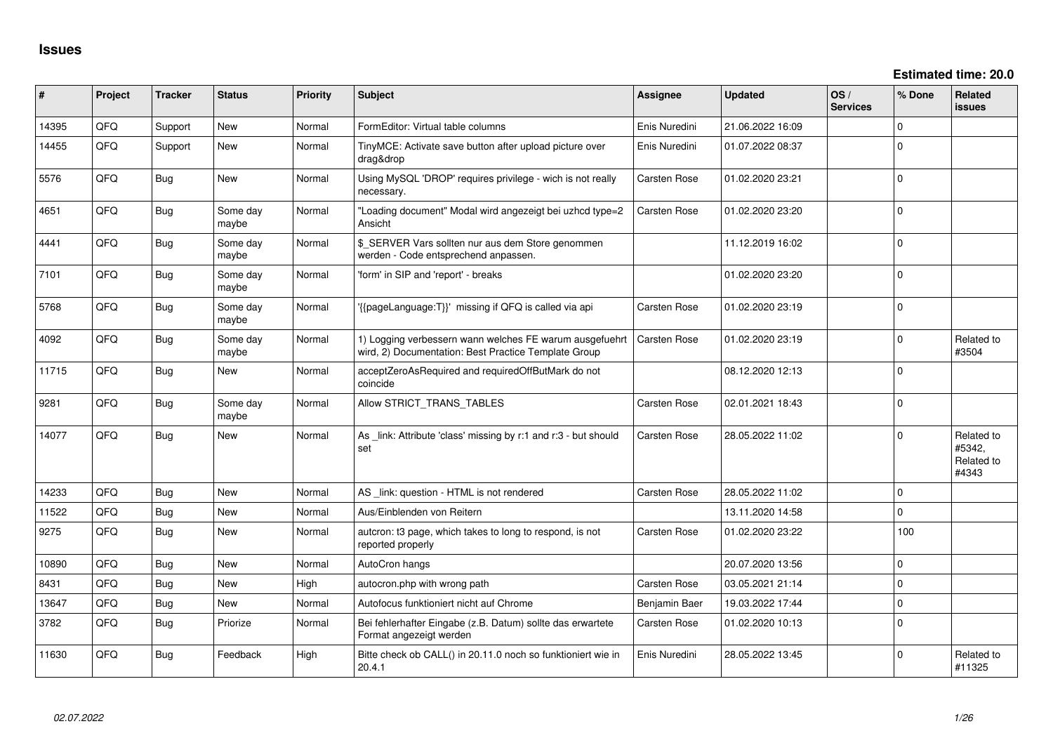| #     | Project | <b>Tracker</b> | <b>Status</b>     | Priority | Subject                                                                                                         | Assignee            | <b>Updated</b>   | OS/<br><b>Services</b> | % Done      | <b>Related</b><br>issues                    |
|-------|---------|----------------|-------------------|----------|-----------------------------------------------------------------------------------------------------------------|---------------------|------------------|------------------------|-------------|---------------------------------------------|
| 14395 | QFQ     | Support        | <b>New</b>        | Normal   | FormEditor: Virtual table columns                                                                               | Enis Nuredini       | 21.06.2022 16:09 |                        | $\mathbf 0$ |                                             |
| 14455 | QFQ     | Support        | <b>New</b>        | Normal   | TinyMCE: Activate save button after upload picture over<br>drag&drop                                            | Enis Nuredini       | 01.07.2022 08:37 |                        | $\Omega$    |                                             |
| 5576  | QFQ     | Bug            | New               | Normal   | Using MySQL 'DROP' requires privilege - wich is not really<br>necessary.                                        | Carsten Rose        | 01.02.2020 23:21 |                        | $\mathbf 0$ |                                             |
| 4651  | QFQ     | <b>Bug</b>     | Some day<br>maybe | Normal   | "Loading document" Modal wird angezeigt bei uzhcd type=2<br>Ansicht                                             | <b>Carsten Rose</b> | 01.02.2020 23:20 |                        | $\Omega$    |                                             |
| 4441  | QFQ     | <b>Bug</b>     | Some day<br>maybe | Normal   | \$_SERVER Vars sollten nur aus dem Store genommen<br>werden - Code entsprechend anpassen.                       |                     | 11.12.2019 16:02 |                        | 0           |                                             |
| 7101  | QFQ     | <b>Bug</b>     | Some day<br>maybe | Normal   | 'form' in SIP and 'report' - breaks                                                                             |                     | 01.02.2020 23:20 |                        | $\Omega$    |                                             |
| 5768  | QFQ     | <b>Bug</b>     | Some day<br>maybe | Normal   | {{pageLanguage:T}}' missing if QFQ is called via api                                                            | Carsten Rose        | 01.02.2020 23:19 |                        | $\Omega$    |                                             |
| 4092  | QFQ     | <b>Bug</b>     | Some day<br>maybe | Normal   | 1) Logging verbessern wann welches FE warum ausgefuehrt<br>wird, 2) Documentation: Best Practice Template Group | <b>Carsten Rose</b> | 01.02.2020 23:19 |                        | 0           | Related to<br>#3504                         |
| 11715 | QFQ     | <b>Bug</b>     | New               | Normal   | acceptZeroAsRequired and requiredOffButMark do not<br>coincide                                                  |                     | 08.12.2020 12:13 |                        | $\Omega$    |                                             |
| 9281  | QFQ     | <b>Bug</b>     | Some day<br>maybe | Normal   | Allow STRICT_TRANS_TABLES                                                                                       | Carsten Rose        | 02.01.2021 18:43 |                        | $\Omega$    |                                             |
| 14077 | QFQ     | <b>Bug</b>     | New               | Normal   | As _link: Attribute 'class' missing by r:1 and r:3 - but should<br>set                                          | Carsten Rose        | 28.05.2022 11:02 |                        | $\mathbf 0$ | Related to<br>#5342,<br>Related to<br>#4343 |
| 14233 | QFQ     | Bug            | <b>New</b>        | Normal   | AS _link: question - HTML is not rendered                                                                       | <b>Carsten Rose</b> | 28.05.2022 11:02 |                        | $\Omega$    |                                             |
| 11522 | QFQ     | Bug            | New               | Normal   | Aus/Einblenden von Reitern                                                                                      |                     | 13.11.2020 14:58 |                        | $\Omega$    |                                             |
| 9275  | QFQ     | <b>Bug</b>     | New               | Normal   | autcron: t3 page, which takes to long to respond, is not<br>reported properly                                   | Carsten Rose        | 01.02.2020 23:22 |                        | 100         |                                             |
| 10890 | QFQ     | <b>Bug</b>     | <b>New</b>        | Normal   | AutoCron hangs                                                                                                  |                     | 20.07.2020 13:56 |                        | 0           |                                             |
| 8431  | QFQ     | <b>Bug</b>     | <b>New</b>        | High     | autocron.php with wrong path                                                                                    | Carsten Rose        | 03.05.2021 21:14 |                        | $\Omega$    |                                             |
| 13647 | QFQ     | <b>Bug</b>     | New               | Normal   | Autofocus funktioniert nicht auf Chrome                                                                         | Benjamin Baer       | 19.03.2022 17:44 |                        | $\pmb{0}$   |                                             |
| 3782  | QFQ     | <b>Bug</b>     | Priorize          | Normal   | Bei fehlerhafter Eingabe (z.B. Datum) sollte das erwartete<br>Format angezeigt werden                           | Carsten Rose        | 01.02.2020 10:13 |                        | $\mathbf 0$ |                                             |
| 11630 | QFQ     | <b>Bug</b>     | Feedback          | High     | Bitte check ob CALL() in 20.11.0 noch so funktioniert wie in<br>20.4.1                                          | Enis Nuredini       | 28.05.2022 13:45 |                        | $\Omega$    | Related to<br>#11325                        |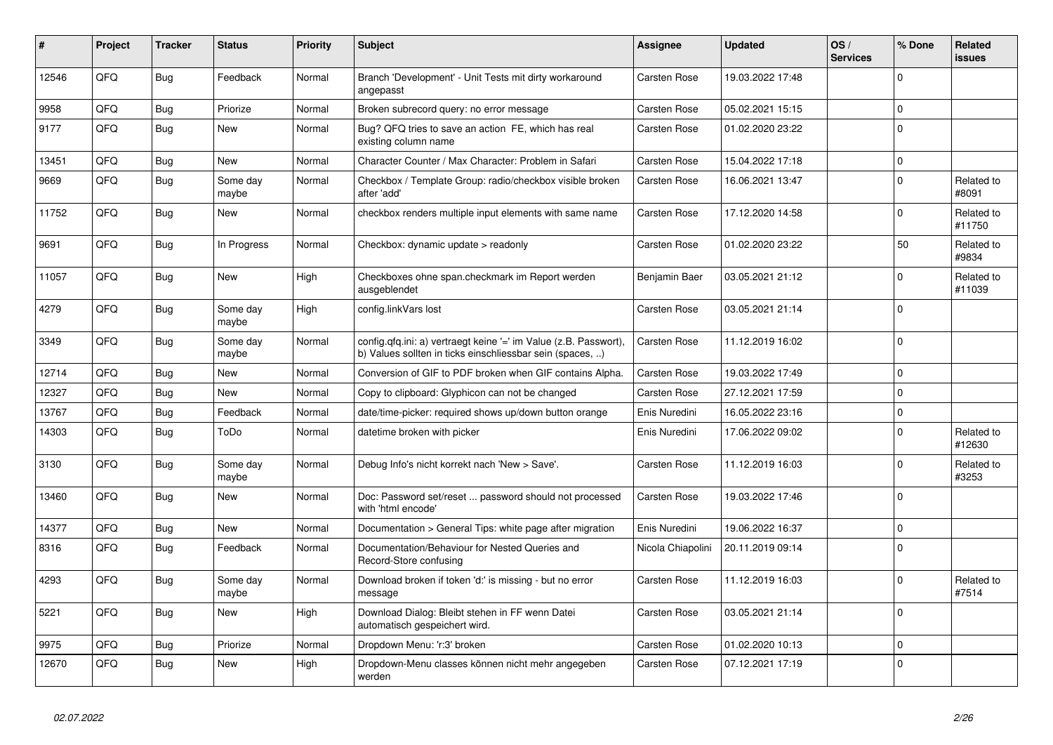| #     | Project | <b>Tracker</b> | <b>Status</b>     | Priority | <b>Subject</b>                                                                                                                | Assignee          | <b>Updated</b>   | OS/<br><b>Services</b> | % Done      | Related<br><b>issues</b> |
|-------|---------|----------------|-------------------|----------|-------------------------------------------------------------------------------------------------------------------------------|-------------------|------------------|------------------------|-------------|--------------------------|
| 12546 | QFQ     | Bug            | Feedback          | Normal   | Branch 'Development' - Unit Tests mit dirty workaround<br>angepasst                                                           | Carsten Rose      | 19.03.2022 17:48 |                        | $\Omega$    |                          |
| 9958  | QFQ     | Bug            | Priorize          | Normal   | Broken subrecord query: no error message                                                                                      | Carsten Rose      | 05.02.2021 15:15 |                        | $\Omega$    |                          |
| 9177  | QFQ     | Bug            | <b>New</b>        | Normal   | Bug? QFQ tries to save an action FE, which has real<br>existing column name                                                   | Carsten Rose      | 01.02.2020 23:22 |                        | $\Omega$    |                          |
| 13451 | QFQ     | <b>Bug</b>     | <b>New</b>        | Normal   | Character Counter / Max Character: Problem in Safari                                                                          | Carsten Rose      | 15.04.2022 17:18 |                        | $\mathbf 0$ |                          |
| 9669  | QFQ     | <b>Bug</b>     | Some day<br>maybe | Normal   | Checkbox / Template Group: radio/checkbox visible broken<br>after 'add'                                                       | Carsten Rose      | 16.06.2021 13:47 |                        | $\Omega$    | Related to<br>#8091      |
| 11752 | QFQ     | Bug            | <b>New</b>        | Normal   | checkbox renders multiple input elements with same name                                                                       | Carsten Rose      | 17.12.2020 14:58 |                        | $\Omega$    | Related to<br>#11750     |
| 9691  | QFQ     | <b>Bug</b>     | In Progress       | Normal   | Checkbox: dynamic update > readonly                                                                                           | Carsten Rose      | 01.02.2020 23:22 |                        | 50          | Related to<br>#9834      |
| 11057 | QFQ     | Bug            | New               | High     | Checkboxes ohne span.checkmark im Report werden<br>ausgeblendet                                                               | Benjamin Baer     | 03.05.2021 21:12 |                        | 0           | Related to<br>#11039     |
| 4279  | QFQ     | <b>Bug</b>     | Some day<br>maybe | High     | config.linkVars lost                                                                                                          | Carsten Rose      | 03.05.2021 21:14 |                        | $\Omega$    |                          |
| 3349  | QFQ     | <b>Bug</b>     | Some day<br>maybe | Normal   | config.qfq.ini: a) vertraegt keine '=' im Value (z.B. Passwort),<br>b) Values sollten in ticks einschliessbar sein (spaces, ) | Carsten Rose      | 11.12.2019 16:02 |                        | $\Omega$    |                          |
| 12714 | QFQ     | Bug            | <b>New</b>        | Normal   | Conversion of GIF to PDF broken when GIF contains Alpha.                                                                      | Carsten Rose      | 19.03.2022 17:49 |                        | $\Omega$    |                          |
| 12327 | QFQ     | Bug            | <b>New</b>        | Normal   | Copy to clipboard: Glyphicon can not be changed                                                                               | Carsten Rose      | 27.12.2021 17:59 |                        | $\Omega$    |                          |
| 13767 | QFQ     | <b>Bug</b>     | Feedback          | Normal   | date/time-picker: required shows up/down button orange                                                                        | Enis Nuredini     | 16.05.2022 23:16 |                        | $\mathbf 0$ |                          |
| 14303 | QFQ     | <b>Bug</b>     | ToDo              | Normal   | datetime broken with picker                                                                                                   | Enis Nuredini     | 17.06.2022 09:02 |                        | $\Omega$    | Related to<br>#12630     |
| 3130  | QFQ     | <b>Bug</b>     | Some day<br>maybe | Normal   | Debug Info's nicht korrekt nach 'New > Save'.                                                                                 | Carsten Rose      | 11.12.2019 16:03 |                        | $\Omega$    | Related to<br>#3253      |
| 13460 | QFQ     | <b>Bug</b>     | New               | Normal   | Doc: Password set/reset  password should not processed<br>with 'html encode'                                                  | Carsten Rose      | 19.03.2022 17:46 |                        | $\Omega$    |                          |
| 14377 | QFQ     | Bug            | <b>New</b>        | Normal   | Documentation > General Tips: white page after migration                                                                      | Enis Nuredini     | 19.06.2022 16:37 |                        | $\Omega$    |                          |
| 8316  | QFQ     | Bug            | Feedback          | Normal   | Documentation/Behaviour for Nested Queries and<br>Record-Store confusing                                                      | Nicola Chiapolini | 20.11.2019 09:14 |                        | $\Omega$    |                          |
| 4293  | QFQ     | <b>Bug</b>     | Some day<br>maybe | Normal   | Download broken if token 'd:' is missing - but no error<br>message                                                            | Carsten Rose      | 11.12.2019 16:03 |                        | $\Omega$    | Related to<br>#7514      |
| 5221  | QFQ     | Bug            | New               | High     | Download Dialog: Bleibt stehen in FF wenn Datei<br>automatisch gespeichert wird.                                              | Carsten Rose      | 03.05.2021 21:14 |                        | $\Omega$    |                          |
| 9975  | QFQ     | <b>Bug</b>     | Priorize          | Normal   | Dropdown Menu: 'r:3' broken                                                                                                   | Carsten Rose      | 01.02.2020 10:13 |                        | $\mathbf 0$ |                          |
| 12670 | QFQ     | <b>Bug</b>     | New               | High     | Dropdown-Menu classes können nicht mehr angegeben<br>werden                                                                   | Carsten Rose      | 07.12.2021 17:19 |                        | $\Omega$    |                          |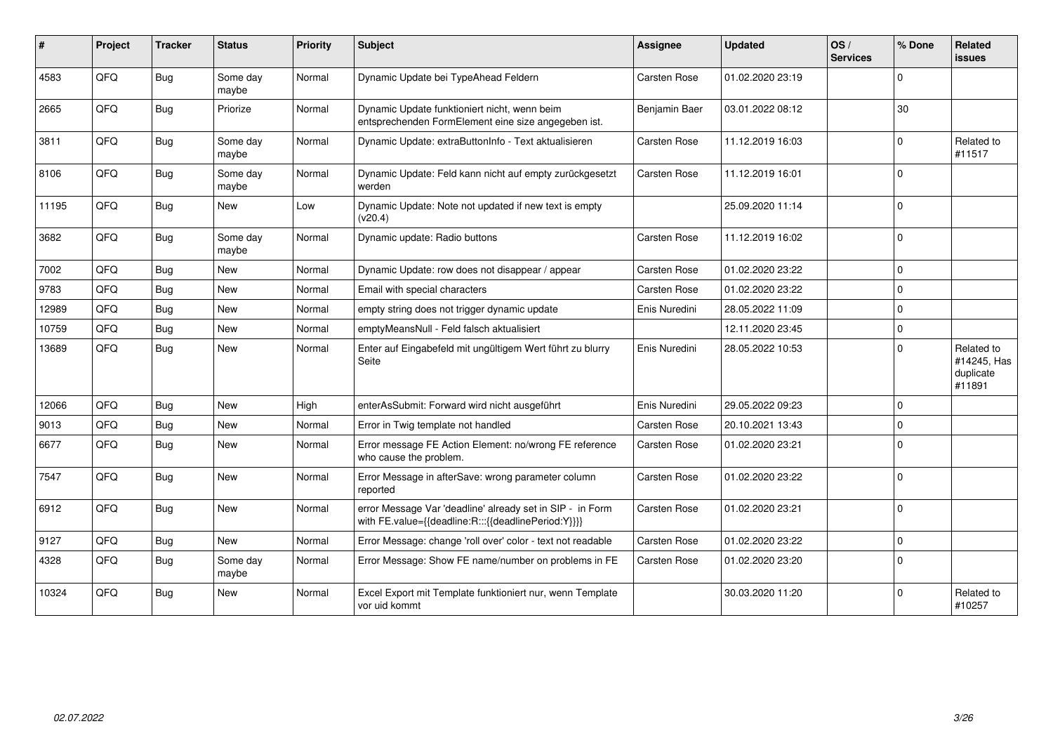| #     | Project | <b>Tracker</b> | <b>Status</b>     | <b>Priority</b> | <b>Subject</b>                                                                                                   | <b>Assignee</b> | <b>Updated</b>   | OS/<br><b>Services</b> | % Done      | Related<br><b>issues</b>                         |
|-------|---------|----------------|-------------------|-----------------|------------------------------------------------------------------------------------------------------------------|-----------------|------------------|------------------------|-------------|--------------------------------------------------|
| 4583  | QFQ     | Bug            | Some day<br>maybe | Normal          | Dynamic Update bei TypeAhead Feldern                                                                             | Carsten Rose    | 01.02.2020 23:19 |                        | $\Omega$    |                                                  |
| 2665  | QFQ     | <b>Bug</b>     | Priorize          | Normal          | Dynamic Update funktioniert nicht, wenn beim<br>entsprechenden FormElement eine size angegeben ist.              | Benjamin Baer   | 03.01.2022 08:12 |                        | 30          |                                                  |
| 3811  | QFQ     | Bug            | Some day<br>maybe | Normal          | Dynamic Update: extraButtonInfo - Text aktualisieren                                                             | Carsten Rose    | 11.12.2019 16:03 |                        | $\Omega$    | Related to<br>#11517                             |
| 8106  | QFQ     | Bug            | Some day<br>maybe | Normal          | Dynamic Update: Feld kann nicht auf empty zurückgesetzt<br>werden                                                | Carsten Rose    | 11.12.2019 16:01 |                        | $\Omega$    |                                                  |
| 11195 | QFQ     | Bug            | <b>New</b>        | Low             | Dynamic Update: Note not updated if new text is empty<br>(v20.4)                                                 |                 | 25.09.2020 11:14 |                        | $\Omega$    |                                                  |
| 3682  | QFQ     | Bug            | Some day<br>maybe | Normal          | Dynamic update: Radio buttons                                                                                    | Carsten Rose    | 11.12.2019 16:02 |                        | $\Omega$    |                                                  |
| 7002  | QFQ     | Bug            | <b>New</b>        | Normal          | Dynamic Update: row does not disappear / appear                                                                  | Carsten Rose    | 01.02.2020 23:22 |                        | $\Omega$    |                                                  |
| 9783  | QFQ     | <b>Bug</b>     | New               | Normal          | Email with special characters                                                                                    | Carsten Rose    | 01.02.2020 23:22 |                        | $\Omega$    |                                                  |
| 12989 | QFQ     | <b>Bug</b>     | New               | Normal          | empty string does not trigger dynamic update                                                                     | Enis Nuredini   | 28.05.2022 11:09 |                        | $\mathbf 0$ |                                                  |
| 10759 | QFQ     | Bug            | <b>New</b>        | Normal          | emptyMeansNull - Feld falsch aktualisiert                                                                        |                 | 12.11.2020 23:45 |                        | $\mathbf 0$ |                                                  |
| 13689 | QFQ     | Bug            | <b>New</b>        | Normal          | Enter auf Eingabefeld mit ungültigem Wert führt zu blurry<br>Seite                                               | Enis Nuredini   | 28.05.2022 10:53 |                        | $\Omega$    | Related to<br>#14245, Has<br>duplicate<br>#11891 |
| 12066 | QFQ     | Bug            | <b>New</b>        | High            | enterAsSubmit: Forward wird nicht ausgeführt                                                                     | Enis Nuredini   | 29.05.2022 09:23 |                        | $\Omega$    |                                                  |
| 9013  | QFQ     | Bug            | <b>New</b>        | Normal          | Error in Twig template not handled                                                                               | Carsten Rose    | 20.10.2021 13:43 |                        | $\Omega$    |                                                  |
| 6677  | QFQ     | Bug            | New               | Normal          | Error message FE Action Element: no/wrong FE reference<br>who cause the problem.                                 | Carsten Rose    | 01.02.2020 23:21 |                        | $\Omega$    |                                                  |
| 7547  | QFQ     | Bug            | New               | Normal          | Error Message in afterSave: wrong parameter column<br>reported                                                   | Carsten Rose    | 01.02.2020 23:22 |                        | $\Omega$    |                                                  |
| 6912  | QFQ     | Bug            | <b>New</b>        | Normal          | error Message Var 'deadline' already set in SIP - in Form<br>with FE.value={{deadline:R:::{{deadlinePeriod:Y}}}} | Carsten Rose    | 01.02.2020 23:21 |                        | $\Omega$    |                                                  |
| 9127  | QFQ     | Bug            | <b>New</b>        | Normal          | Error Message: change 'roll over' color - text not readable                                                      | Carsten Rose    | 01.02.2020 23:22 |                        | $\mathbf 0$ |                                                  |
| 4328  | QFQ     | Bug            | Some day<br>maybe | Normal          | Error Message: Show FE name/number on problems in FE                                                             | Carsten Rose    | 01.02.2020 23:20 |                        | $\Omega$    |                                                  |
| 10324 | QFQ     | Bug            | <b>New</b>        | Normal          | Excel Export mit Template funktioniert nur, wenn Template<br>vor uid kommt                                       |                 | 30.03.2020 11:20 |                        | $\Omega$    | Related to<br>#10257                             |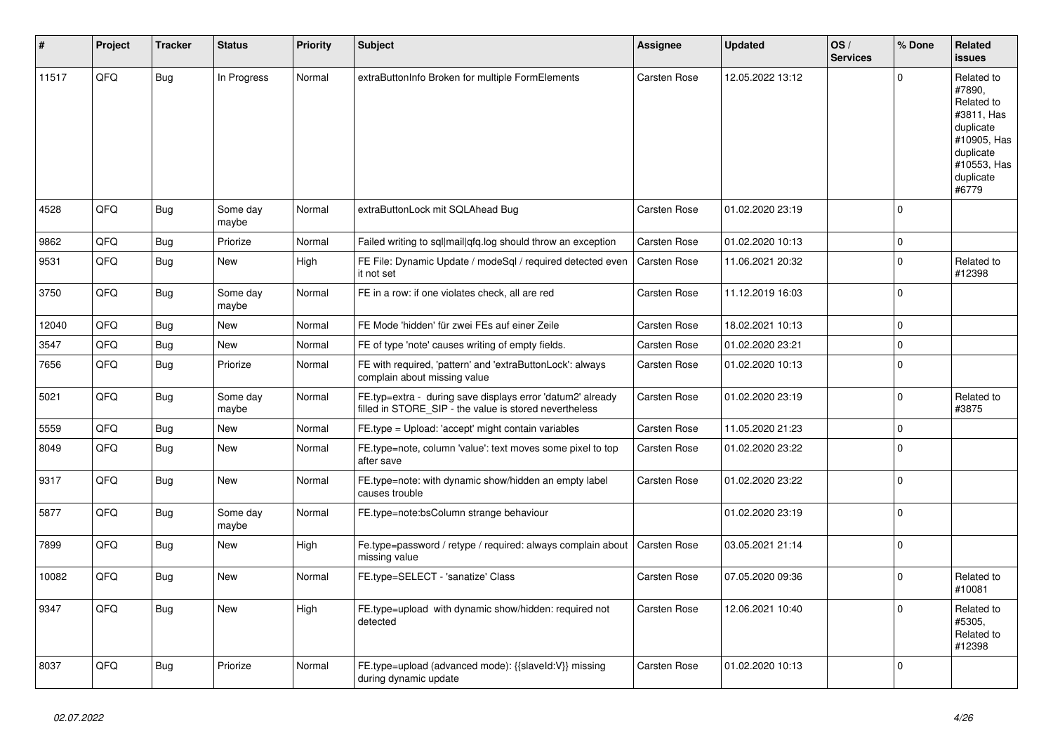| #     | Project | <b>Tracker</b> | <b>Status</b>     | <b>Priority</b> | <b>Subject</b>                                                                                                       | Assignee            | <b>Updated</b>   | OS/<br><b>Services</b> | % Done      | Related<br><b>issues</b>                                                                                                       |
|-------|---------|----------------|-------------------|-----------------|----------------------------------------------------------------------------------------------------------------------|---------------------|------------------|------------------------|-------------|--------------------------------------------------------------------------------------------------------------------------------|
| 11517 | QFQ     | <b>Bug</b>     | In Progress       | Normal          | extraButtonInfo Broken for multiple FormElements                                                                     | Carsten Rose        | 12.05.2022 13:12 |                        | $\Omega$    | Related to<br>#7890,<br>Related to<br>#3811, Has<br>duplicate<br>#10905, Has<br>duplicate<br>#10553, Has<br>duplicate<br>#6779 |
| 4528  | QFQ     | <b>Bug</b>     | Some day<br>maybe | Normal          | extraButtonLock mit SQLAhead Bug                                                                                     | Carsten Rose        | 01.02.2020 23:19 |                        | $\Omega$    |                                                                                                                                |
| 9862  | QFQ     | <b>Bug</b>     | Priorize          | Normal          | Failed writing to sql mail qfq.log should throw an exception                                                         | Carsten Rose        | 01.02.2020 10:13 |                        | $\pmb{0}$   |                                                                                                                                |
| 9531  | QFQ     | <b>Bug</b>     | <b>New</b>        | High            | FE File: Dynamic Update / modeSgl / required detected even<br>it not set                                             | <b>Carsten Rose</b> | 11.06.2021 20:32 |                        | $\mathbf 0$ | Related to<br>#12398                                                                                                           |
| 3750  | QFQ     | <b>Bug</b>     | Some day<br>maybe | Normal          | FE in a row: if one violates check, all are red                                                                      | Carsten Rose        | 11.12.2019 16:03 |                        | $\mathbf 0$ |                                                                                                                                |
| 12040 | QFQ     | Bug            | <b>New</b>        | Normal          | FE Mode 'hidden' für zwei FEs auf einer Zeile                                                                        | Carsten Rose        | 18.02.2021 10:13 |                        | $\Omega$    |                                                                                                                                |
| 3547  | QFQ     | <b>Bug</b>     | New               | Normal          | FE of type 'note' causes writing of empty fields.                                                                    | Carsten Rose        | 01.02.2020 23:21 |                        | $\mathbf 0$ |                                                                                                                                |
| 7656  | QFQ     | Bug            | Priorize          | Normal          | FE with required, 'pattern' and 'extraButtonLock': always<br>complain about missing value                            | Carsten Rose        | 01.02.2020 10:13 |                        | $\mathbf 0$ |                                                                                                                                |
| 5021  | QFQ     | <b>Bug</b>     | Some day<br>maybe | Normal          | FE.typ=extra - during save displays error 'datum2' already<br>filled in STORE_SIP - the value is stored nevertheless | Carsten Rose        | 01.02.2020 23:19 |                        | $\mathbf 0$ | Related to<br>#3875                                                                                                            |
| 5559  | QFQ     | <b>Bug</b>     | New               | Normal          | FE.type = Upload: 'accept' might contain variables                                                                   | Carsten Rose        | 11.05.2020 21:23 |                        | $\Omega$    |                                                                                                                                |
| 8049  | QFQ     | Bug            | <b>New</b>        | Normal          | FE.type=note, column 'value': text moves some pixel to top<br>after save                                             | Carsten Rose        | 01.02.2020 23:22 |                        | $\Omega$    |                                                                                                                                |
| 9317  | QFQ     | Bug            | <b>New</b>        | Normal          | FE.type=note: with dynamic show/hidden an empty label<br>causes trouble                                              | Carsten Rose        | 01.02.2020 23:22 |                        | $\Omega$    |                                                                                                                                |
| 5877  | QFQ     | <b>Bug</b>     | Some day<br>maybe | Normal          | FE.type=note:bsColumn strange behaviour                                                                              |                     | 01.02.2020 23:19 |                        | $\mathbf 0$ |                                                                                                                                |
| 7899  | QFQ     | <b>Bug</b>     | <b>New</b>        | High            | Fe.type=password / retype / required: always complain about<br>missing value                                         | <b>Carsten Rose</b> | 03.05.2021 21:14 |                        | $\mathbf 0$ |                                                                                                                                |
| 10082 | QFQ     | Bug            | New               | Normal          | FE.type=SELECT - 'sanatize' Class                                                                                    | Carsten Rose        | 07.05.2020 09:36 |                        | $\Omega$    | Related to<br>#10081                                                                                                           |
| 9347  | QFQ     | Bug            | New               | High            | FE.type=upload with dynamic show/hidden: required not<br>detected                                                    | Carsten Rose        | 12.06.2021 10:40 |                        | $\mathbf 0$ | Related to<br>#5305,<br>Related to<br>#12398                                                                                   |
| 8037  | QFQ     | <b>Bug</b>     | Priorize          | Normal          | FE.type=upload (advanced mode): {{slaveld:V}} missing<br>during dynamic update                                       | Carsten Rose        | 01.02.2020 10:13 |                        | $\mathbf 0$ |                                                                                                                                |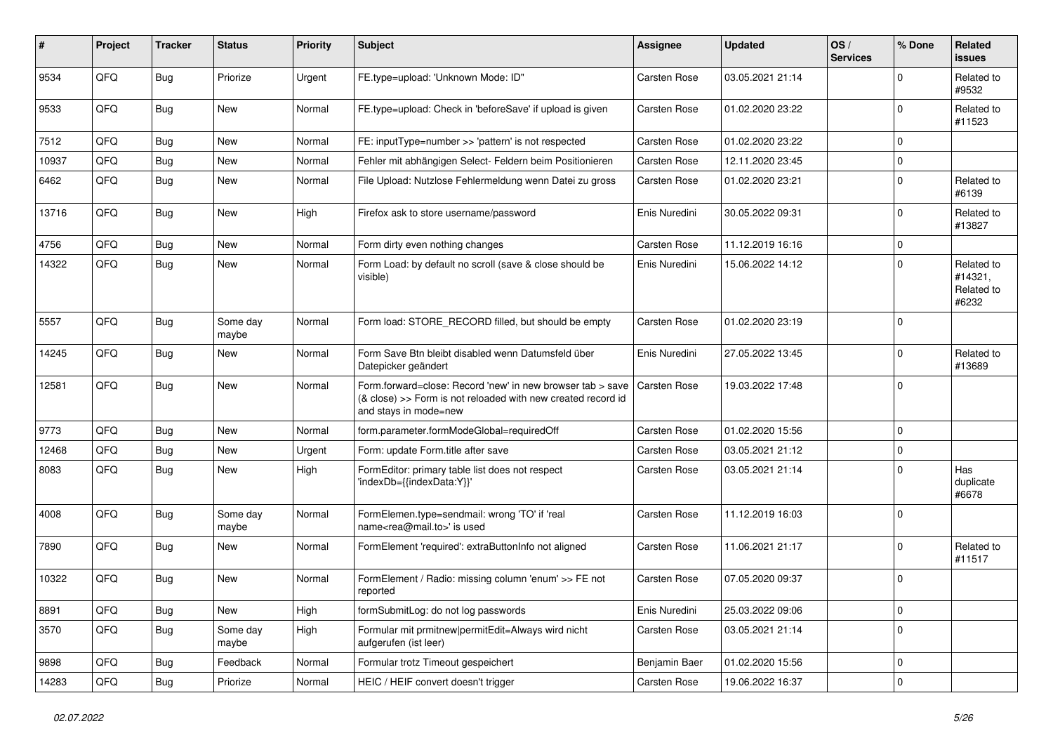| #     | Project | <b>Tracker</b> | <b>Status</b>     | <b>Priority</b> | Subject                                                                                                                                             | <b>Assignee</b> | <b>Updated</b>   | OS/<br><b>Services</b> | % Done      | Related<br><b>issues</b>                     |
|-------|---------|----------------|-------------------|-----------------|-----------------------------------------------------------------------------------------------------------------------------------------------------|-----------------|------------------|------------------------|-------------|----------------------------------------------|
| 9534  | QFQ     | Bug            | Priorize          | Urgent          | FE.type=upload: 'Unknown Mode: ID"                                                                                                                  | Carsten Rose    | 03.05.2021 21:14 |                        | $\Omega$    | Related to<br>#9532                          |
| 9533  | QFQ     | <b>Bug</b>     | New               | Normal          | FE.type=upload: Check in 'beforeSave' if upload is given                                                                                            | Carsten Rose    | 01.02.2020 23:22 |                        | $\mathbf 0$ | Related to<br>#11523                         |
| 7512  | QFQ     | <b>Bug</b>     | New               | Normal          | FE: inputType=number >> 'pattern' is not respected                                                                                                  | Carsten Rose    | 01.02.2020 23:22 |                        | $\mathbf 0$ |                                              |
| 10937 | QFQ     | Bug            | New               | Normal          | Fehler mit abhängigen Select- Feldern beim Positionieren                                                                                            | Carsten Rose    | 12.11.2020 23:45 |                        | $\mathbf 0$ |                                              |
| 6462  | QFQ     | Bug            | New               | Normal          | File Upload: Nutzlose Fehlermeldung wenn Datei zu gross                                                                                             | Carsten Rose    | 01.02.2020 23:21 |                        | $\mathbf 0$ | Related to<br>#6139                          |
| 13716 | QFQ     | Bug            | New               | High            | Firefox ask to store username/password                                                                                                              | Enis Nuredini   | 30.05.2022 09:31 |                        | $\mathbf 0$ | Related to<br>#13827                         |
| 4756  | QFQ     | Bug            | New               | Normal          | Form dirty even nothing changes                                                                                                                     | Carsten Rose    | 11.12.2019 16:16 |                        | $\mathbf 0$ |                                              |
| 14322 | QFQ     | Bug            | New               | Normal          | Form Load: by default no scroll (save & close should be<br>visible)                                                                                 | Enis Nuredini   | 15.06.2022 14:12 |                        | $\Omega$    | Related to<br>#14321,<br>Related to<br>#6232 |
| 5557  | QFQ     | Bug            | Some day<br>maybe | Normal          | Form load: STORE RECORD filled, but should be empty                                                                                                 | Carsten Rose    | 01.02.2020 23:19 |                        | $\mathbf 0$ |                                              |
| 14245 | QFQ     | Bug            | New               | Normal          | Form Save Btn bleibt disabled wenn Datumsfeld über<br>Datepicker geändert                                                                           | Enis Nuredini   | 27.05.2022 13:45 |                        | $\mathbf 0$ | Related to<br>#13689                         |
| 12581 | QFQ     | Bug            | New               | Normal          | Form.forward=close: Record 'new' in new browser tab > save<br>(& close) >> Form is not reloaded with new created record id<br>and stays in mode=new | Carsten Rose    | 19.03.2022 17:48 |                        | $\Omega$    |                                              |
| 9773  | QFQ     | Bug            | <b>New</b>        | Normal          | form.parameter.formModeGlobal=requiredOff                                                                                                           | Carsten Rose    | 01.02.2020 15:56 |                        | $\mathbf 0$ |                                              |
| 12468 | QFQ     | Bug            | New               | Urgent          | Form: update Form.title after save                                                                                                                  | Carsten Rose    | 03.05.2021 21:12 |                        | $\mathbf 0$ |                                              |
| 8083  | QFQ     | <b>Bug</b>     | New               | High            | FormEditor: primary table list does not respect<br>'indexDb={{indexData:Y}}'                                                                        | Carsten Rose    | 03.05.2021 21:14 |                        | $\mathbf 0$ | Has<br>duplicate<br>#6678                    |
| 4008  | QFQ     | <b>Bug</b>     | Some day<br>maybe | Normal          | FormElemen.type=sendmail: wrong 'TO' if 'real<br>name <rea@mail.to>' is used</rea@mail.to>                                                          | Carsten Rose    | 11.12.2019 16:03 |                        | $\mathbf 0$ |                                              |
| 7890  | QFQ     | Bug            | New               | Normal          | FormElement 'required': extraButtonInfo not aligned                                                                                                 | Carsten Rose    | 11.06.2021 21:17 |                        | $\mathbf 0$ | Related to<br>#11517                         |
| 10322 | QFQ     | Bug            | New               | Normal          | FormElement / Radio: missing column 'enum' >> FE not<br>reported                                                                                    | Carsten Rose    | 07.05.2020 09:37 |                        | $\mathbf 0$ |                                              |
| 8891  | QFQ     | <b>Bug</b>     | New               | High            | formSubmitLog: do not log passwords                                                                                                                 | Enis Nuredini   | 25.03.2022 09:06 |                        | $\mathbf 0$ |                                              |
| 3570  | QFQ     | <b>Bug</b>     | Some day<br>maybe | High            | Formular mit prmitnew permitEdit=Always wird nicht<br>aufgerufen (ist leer)                                                                         | Carsten Rose    | 03.05.2021 21:14 |                        | $\mathbf 0$ |                                              |
| 9898  | QFQ     | Bug            | Feedback          | Normal          | Formular trotz Timeout gespeichert                                                                                                                  | Benjamin Baer   | 01.02.2020 15:56 |                        | $\mathbf 0$ |                                              |
| 14283 | QFQ     | <b>Bug</b>     | Priorize          | Normal          | HEIC / HEIF convert doesn't trigger                                                                                                                 | Carsten Rose    | 19.06.2022 16:37 |                        | $\mathbf 0$ |                                              |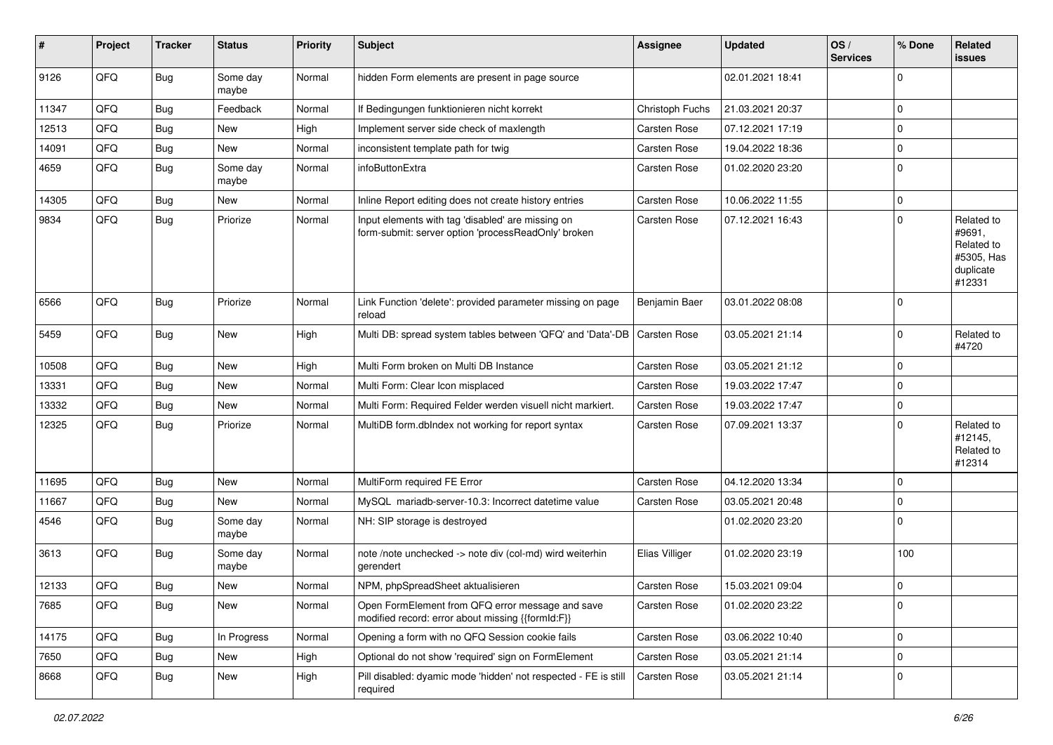| #     | Project | <b>Tracker</b> | <b>Status</b>     | <b>Priority</b> | Subject                                                                                                  | <b>Assignee</b> | <b>Updated</b>   | OS/<br><b>Services</b> | % Done      | Related<br><b>issues</b>                                                |
|-------|---------|----------------|-------------------|-----------------|----------------------------------------------------------------------------------------------------------|-----------------|------------------|------------------------|-------------|-------------------------------------------------------------------------|
| 9126  | QFQ     | <b>Bug</b>     | Some day<br>maybe | Normal          | hidden Form elements are present in page source                                                          |                 | 02.01.2021 18:41 |                        | $\Omega$    |                                                                         |
| 11347 | QFQ     | Bug            | Feedback          | Normal          | If Bedingungen funktionieren nicht korrekt                                                               | Christoph Fuchs | 21.03.2021 20:37 |                        | $\Omega$    |                                                                         |
| 12513 | QFQ     | <b>Bug</b>     | New               | High            | Implement server side check of maxlength                                                                 | Carsten Rose    | 07.12.2021 17:19 |                        | $\Omega$    |                                                                         |
| 14091 | QFQ     | <b>Bug</b>     | New               | Normal          | inconsistent template path for twig                                                                      | Carsten Rose    | 19.04.2022 18:36 |                        | $\Omega$    |                                                                         |
| 4659  | QFQ     | Bug            | Some day<br>maybe | Normal          | infoButtonExtra                                                                                          | Carsten Rose    | 01.02.2020 23:20 |                        | $\Omega$    |                                                                         |
| 14305 | QFQ     | <b>Bug</b>     | New               | Normal          | Inline Report editing does not create history entries                                                    | Carsten Rose    | 10.06.2022 11:55 |                        | $\Omega$    |                                                                         |
| 9834  | QFQ     | <b>Bug</b>     | Priorize          | Normal          | Input elements with tag 'disabled' are missing on<br>form-submit: server option 'processReadOnly' broken | Carsten Rose    | 07.12.2021 16:43 |                        | $\Omega$    | Related to<br>#9691,<br>Related to<br>#5305, Has<br>duplicate<br>#12331 |
| 6566  | QFQ     | <b>Bug</b>     | Priorize          | Normal          | Link Function 'delete': provided parameter missing on page<br>reload                                     | Benjamin Baer   | 03.01.2022 08:08 |                        | $\mathbf 0$ |                                                                         |
| 5459  | QFQ     | Bug            | New               | High            | Multi DB: spread system tables between 'QFQ' and 'Data'-DB                                               | Carsten Rose    | 03.05.2021 21:14 |                        | $\mathbf 0$ | Related to<br>#4720                                                     |
| 10508 | QFQ     | <b>Bug</b>     | New               | High            | Multi Form broken on Multi DB Instance                                                                   | Carsten Rose    | 03.05.2021 21:12 |                        | $\Omega$    |                                                                         |
| 13331 | QFQ     | <b>Bug</b>     | <b>New</b>        | Normal          | Multi Form: Clear Icon misplaced                                                                         | Carsten Rose    | 19.03.2022 17:47 |                        | $\Omega$    |                                                                         |
| 13332 | QFQ     | Bug            | New               | Normal          | Multi Form: Required Felder werden visuell nicht markiert.                                               | Carsten Rose    | 19.03.2022 17:47 |                        | 0           |                                                                         |
| 12325 | QFQ     | Bug            | Priorize          | Normal          | MultiDB form.dblndex not working for report syntax                                                       | Carsten Rose    | 07.09.2021 13:37 |                        | $\Omega$    | Related to<br>#12145,<br>Related to<br>#12314                           |
| 11695 | QFQ     | <b>Bug</b>     | <b>New</b>        | Normal          | MultiForm required FE Error                                                                              | Carsten Rose    | 04.12.2020 13:34 |                        | $\mathbf 0$ |                                                                         |
| 11667 | QFQ     | <b>Bug</b>     | New               | Normal          | MySQL mariadb-server-10.3: Incorrect datetime value                                                      | Carsten Rose    | 03.05.2021 20:48 |                        | $\Omega$    |                                                                         |
| 4546  | QFQ     | <b>Bug</b>     | Some day<br>maybe | Normal          | NH: SIP storage is destroyed                                                                             |                 | 01.02.2020 23:20 |                        | $\Omega$    |                                                                         |
| 3613  | QFQ     | <b>Bug</b>     | Some day<br>maybe | Normal          | note /note unchecked -> note div (col-md) wird weiterhin<br>gerendert                                    | Elias Villiger  | 01.02.2020 23:19 |                        | 100         |                                                                         |
| 12133 | QFQ     | <b>Bug</b>     | New               | Normal          | NPM, phpSpreadSheet aktualisieren                                                                        | Carsten Rose    | 15.03.2021 09:04 |                        | 0           |                                                                         |
| 7685  | QFQ     | <b>Bug</b>     | New               | Normal          | Open FormElement from QFQ error message and save<br>modified record: error about missing {{formId:F}}    | Carsten Rose    | 01.02.2020 23:22 |                        | 0           |                                                                         |
| 14175 | QFQ     | <b>Bug</b>     | In Progress       | Normal          | Opening a form with no QFQ Session cookie fails                                                          | Carsten Rose    | 03.06.2022 10:40 |                        | $\mathbf 0$ |                                                                         |
| 7650  | QFQ     | <b>Bug</b>     | New               | High            | Optional do not show 'required' sign on FormElement                                                      | Carsten Rose    | 03.05.2021 21:14 |                        | $\mathbf 0$ |                                                                         |
| 8668  | QFQ     | <b>Bug</b>     | New               | High            | Pill disabled: dyamic mode 'hidden' not respected - FE is still<br>required                              | Carsten Rose    | 03.05.2021 21:14 |                        | 0           |                                                                         |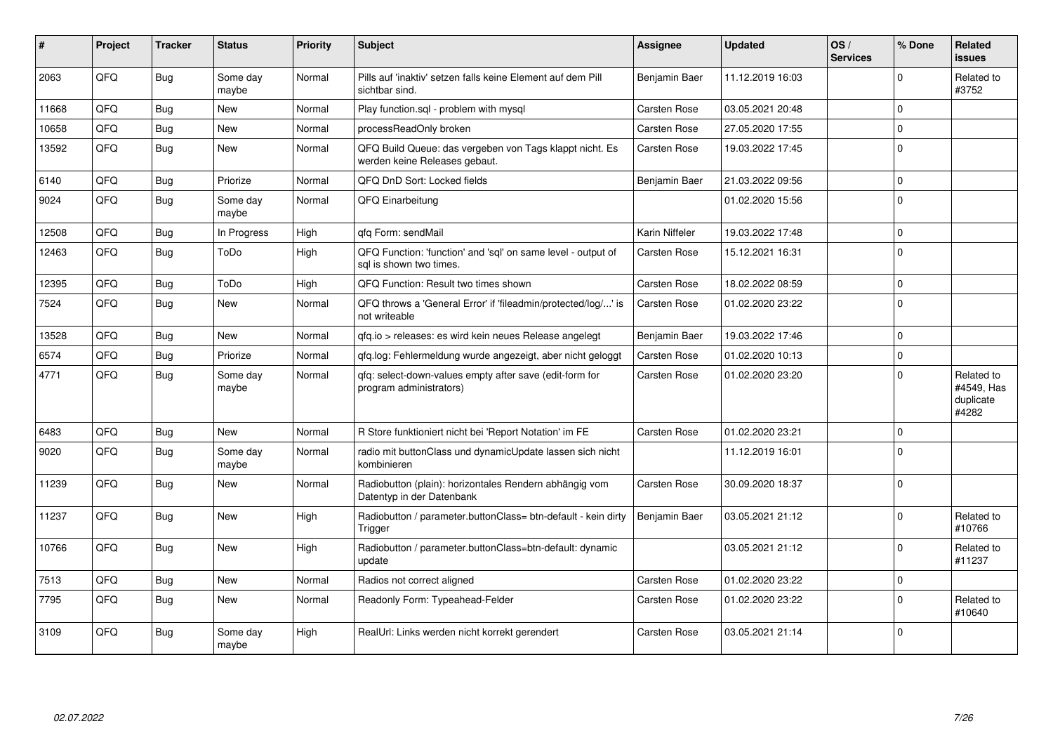| #     | Project | <b>Tracker</b> | <b>Status</b>     | <b>Priority</b> | <b>Subject</b>                                                                           | <b>Assignee</b>     | <b>Updated</b>   | OS/<br><b>Services</b> | % Done   | Related<br><b>issues</b>                       |
|-------|---------|----------------|-------------------|-----------------|------------------------------------------------------------------------------------------|---------------------|------------------|------------------------|----------|------------------------------------------------|
| 2063  | QFQ     | <b>Bug</b>     | Some day<br>maybe | Normal          | Pills auf 'inaktiv' setzen falls keine Element auf dem Pill<br>sichtbar sind.            | Benjamin Baer       | 11.12.2019 16:03 |                        | $\Omega$ | Related to<br>#3752                            |
| 11668 | QFQ     | <b>Bug</b>     | <b>New</b>        | Normal          | Play function.sql - problem with mysql                                                   | Carsten Rose        | 03.05.2021 20:48 |                        | $\Omega$ |                                                |
| 10658 | QFQ     | <b>Bug</b>     | New               | Normal          | processReadOnly broken                                                                   | Carsten Rose        | 27.05.2020 17:55 |                        | $\Omega$ |                                                |
| 13592 | QFQ     | <b>Bug</b>     | <b>New</b>        | Normal          | QFQ Build Queue: das vergeben von Tags klappt nicht. Es<br>werden keine Releases gebaut. | Carsten Rose        | 19.03.2022 17:45 |                        | $\Omega$ |                                                |
| 6140  | QFQ     | <b>Bug</b>     | Priorize          | Normal          | QFQ DnD Sort: Locked fields                                                              | Benjamin Baer       | 21.03.2022 09:56 |                        | $\Omega$ |                                                |
| 9024  | QFQ     | Bug            | Some day<br>maybe | Normal          | QFQ Einarbeitung                                                                         |                     | 01.02.2020 15:56 |                        | $\Omega$ |                                                |
| 12508 | OFQ     | Bug            | In Progress       | High            | qfq Form: sendMail                                                                       | Karin Niffeler      | 19.03.2022 17:48 |                        | $\Omega$ |                                                |
| 12463 | QFQ     | Bug            | ToDo              | High            | QFQ Function: 'function' and 'sql' on same level - output of<br>sal is shown two times.  | Carsten Rose        | 15.12.2021 16:31 |                        | $\Omega$ |                                                |
| 12395 | QFQ     | <b>Bug</b>     | ToDo              | High            | QFQ Function: Result two times shown                                                     | Carsten Rose        | 18.02.2022 08:59 |                        | $\Omega$ |                                                |
| 7524  | QFQ     | <b>Bug</b>     | New               | Normal          | QFQ throws a 'General Error' if 'fileadmin/protected/log/' is<br>not writeable           | Carsten Rose        | 01.02.2020 23:22 |                        | $\Omega$ |                                                |
| 13528 | QFQ     | <b>Bug</b>     | <b>New</b>        | Normal          | gfg.io > releases: es wird kein neues Release angelegt                                   | Benjamin Baer       | 19.03.2022 17:46 |                        | $\Omega$ |                                                |
| 6574  | QFQ     | <b>Bug</b>     | Priorize          | Normal          | gfg.log: Fehlermeldung wurde angezeigt, aber nicht geloggt                               | Carsten Rose        | 01.02.2020 10:13 |                        | $\Omega$ |                                                |
| 4771  | QFQ     | Bug            | Some day<br>maybe | Normal          | qfq: select-down-values empty after save (edit-form for<br>program administrators)       | Carsten Rose        | 01.02.2020 23:20 |                        | $\Omega$ | Related to<br>#4549, Has<br>duplicate<br>#4282 |
| 6483  | QFQ     | <b>Bug</b>     | <b>New</b>        | Normal          | R Store funktioniert nicht bei 'Report Notation' im FE                                   | Carsten Rose        | 01.02.2020 23:21 |                        | $\Omega$ |                                                |
| 9020  | QFQ     | <b>Bug</b>     | Some day<br>maybe | Normal          | radio mit buttonClass und dynamicUpdate lassen sich nicht<br>kombinieren                 |                     | 11.12.2019 16:01 |                        | $\Omega$ |                                                |
| 11239 | QFQ     | Bug            | New               | Normal          | Radiobutton (plain): horizontales Rendern abhängig vom<br>Datentyp in der Datenbank      | Carsten Rose        | 30.09.2020 18:37 |                        | $\Omega$ |                                                |
| 11237 | QFQ     | Bug            | New               | High            | Radiobutton / parameter.buttonClass= btn-default - kein dirty<br>Trigger                 | Benjamin Baer       | 03.05.2021 21:12 |                        | $\Omega$ | Related to<br>#10766                           |
| 10766 | QFQ     | Bug            | <b>New</b>        | High            | Radiobutton / parameter.buttonClass=btn-default: dynamic<br>update                       |                     | 03.05.2021 21:12 |                        | $\Omega$ | Related to<br>#11237                           |
| 7513  | QFQ     | Bug            | New               | Normal          | Radios not correct aligned                                                               | <b>Carsten Rose</b> | 01.02.2020 23:22 |                        | $\Omega$ |                                                |
| 7795  | QFQ     | <b>Bug</b>     | New               | Normal          | Readonly Form: Typeahead-Felder                                                          | Carsten Rose        | 01.02.2020 23:22 |                        | $\Omega$ | Related to<br>#10640                           |
| 3109  | QFQ     | <b>Bug</b>     | Some day<br>maybe | High            | RealUrl: Links werden nicht korrekt gerendert                                            | Carsten Rose        | 03.05.2021 21:14 |                        | $\Omega$ |                                                |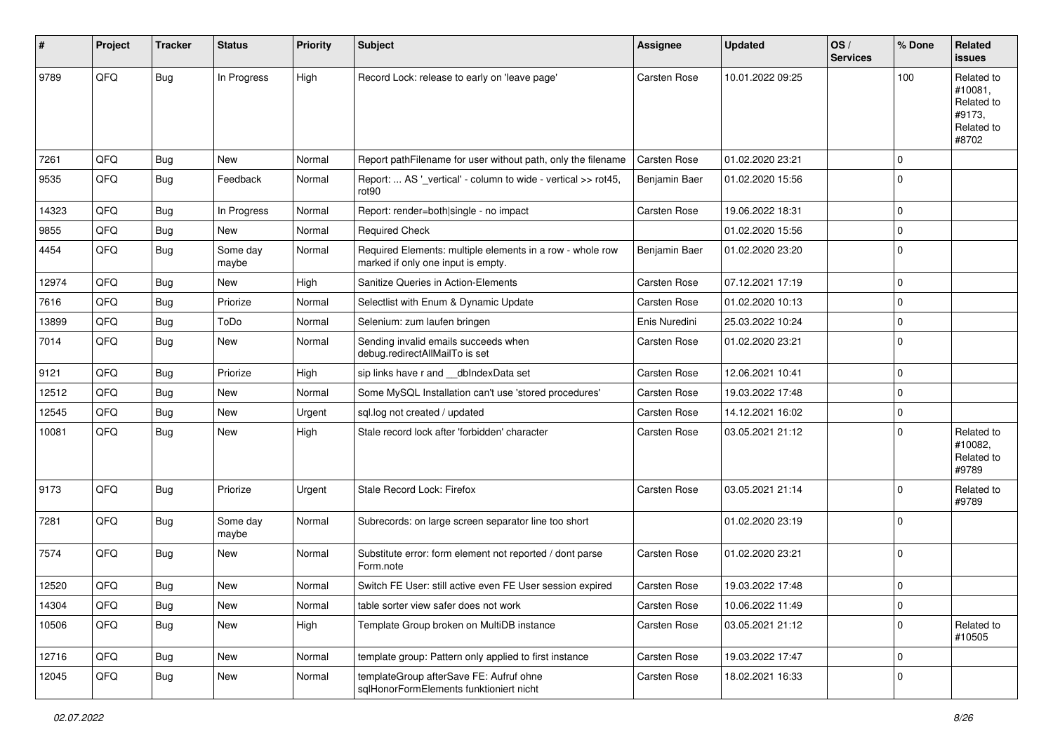| #     | Project | <b>Tracker</b> | <b>Status</b>     | <b>Priority</b> | Subject                                                                                         | <b>Assignee</b>     | <b>Updated</b>   | OS/<br><b>Services</b> | % Done      | Related<br><b>issues</b>                                             |
|-------|---------|----------------|-------------------|-----------------|-------------------------------------------------------------------------------------------------|---------------------|------------------|------------------------|-------------|----------------------------------------------------------------------|
| 9789  | QFQ     | Bug            | In Progress       | High            | Record Lock: release to early on 'leave page'                                                   | Carsten Rose        | 10.01.2022 09:25 |                        | 100         | Related to<br>#10081,<br>Related to<br>#9173.<br>Related to<br>#8702 |
| 7261  | QFQ     | <b>Bug</b>     | <b>New</b>        | Normal          | Report pathFilename for user without path, only the filename                                    | <b>Carsten Rose</b> | 01.02.2020 23:21 |                        | $\mathbf 0$ |                                                                      |
| 9535  | QFQ     | Bug            | Feedback          | Normal          | Report:  AS '_vertical' - column to wide - vertical >> rot45,<br>rot90                          | Benjamin Baer       | 01.02.2020 15:56 |                        | $\Omega$    |                                                                      |
| 14323 | QFQ     | <b>Bug</b>     | In Progress       | Normal          | Report: render=both single - no impact                                                          | Carsten Rose        | 19.06.2022 18:31 |                        | $\mathbf 0$ |                                                                      |
| 9855  | QFQ     | <b>Bug</b>     | New               | Normal          | <b>Required Check</b>                                                                           |                     | 01.02.2020 15:56 |                        | 0           |                                                                      |
| 4454  | QFQ     | Bug            | Some day<br>maybe | Normal          | Required Elements: multiple elements in a row - whole row<br>marked if only one input is empty. | Benjamin Baer       | 01.02.2020 23:20 |                        | $\Omega$    |                                                                      |
| 12974 | QFQ     | <b>Bug</b>     | New               | High            | Sanitize Queries in Action-Elements                                                             | Carsten Rose        | 07.12.2021 17:19 |                        | $\Omega$    |                                                                      |
| 7616  | QFQ     | <b>Bug</b>     | Priorize          | Normal          | Selectlist with Enum & Dynamic Update                                                           | Carsten Rose        | 01.02.2020 10:13 |                        | $\mathbf 0$ |                                                                      |
| 13899 | QFQ     | <b>Bug</b>     | ToDo              | Normal          | Selenium: zum laufen bringen                                                                    | Enis Nuredini       | 25.03.2022 10:24 |                        | $\mathbf 0$ |                                                                      |
| 7014  | QFQ     | <b>Bug</b>     | <b>New</b>        | Normal          | Sending invalid emails succeeds when<br>debug.redirectAllMailTo is set                          | Carsten Rose        | 01.02.2020 23:21 |                        | $\Omega$    |                                                                      |
| 9121  | QFQ     | <b>Bug</b>     | Priorize          | High            | sip links have r and dblndexData set                                                            | Carsten Rose        | 12.06.2021 10:41 |                        | $\Omega$    |                                                                      |
| 12512 | QFQ     | <b>Bug</b>     | <b>New</b>        | Normal          | Some MySQL Installation can't use 'stored procedures'                                           | Carsten Rose        | 19.03.2022 17:48 |                        | $\mathbf 0$ |                                                                      |
| 12545 | QFQ     | <b>Bug</b>     | <b>New</b>        | Urgent          | sql.log not created / updated                                                                   | Carsten Rose        | 14.12.2021 16:02 |                        | $\mathbf 0$ |                                                                      |
| 10081 | QFQ     | Bug            | New               | High            | Stale record lock after 'forbidden' character                                                   | Carsten Rose        | 03.05.2021 21:12 |                        | $\Omega$    | Related to<br>#10082,<br>Related to<br>#9789                         |
| 9173  | QFQ     | <b>Bug</b>     | Priorize          | Urgent          | Stale Record Lock: Firefox                                                                      | Carsten Rose        | 03.05.2021 21:14 |                        | $\Omega$    | Related to<br>#9789                                                  |
| 7281  | QFQ     | Bug            | Some day<br>maybe | Normal          | Subrecords: on large screen separator line too short                                            |                     | 01.02.2020 23:19 |                        | $\Omega$    |                                                                      |
| 7574  | QFQ     | Bug            | New               | Normal          | Substitute error: form element not reported / dont parse<br>Form.note                           | Carsten Rose        | 01.02.2020 23:21 |                        | $\Omega$    |                                                                      |
| 12520 | QFQ     | <b>Bug</b>     | New               | Normal          | Switch FE User: still active even FE User session expired                                       | Carsten Rose        | 19.03.2022 17:48 |                        | 0           |                                                                      |
| 14304 | QFQ     | Bug            | New               | Normal          | table sorter view safer does not work                                                           | Carsten Rose        | 10.06.2022 11:49 |                        | $\pmb{0}$   |                                                                      |
| 10506 | QFQ     | <b>Bug</b>     | New               | High            | Template Group broken on MultiDB instance                                                       | Carsten Rose        | 03.05.2021 21:12 |                        | $\mathbf 0$ | Related to<br>#10505                                                 |
| 12716 | QFQ     | Bug            | New               | Normal          | template group: Pattern only applied to first instance                                          | Carsten Rose        | 19.03.2022 17:47 |                        | $\mathbf 0$ |                                                                      |
| 12045 | QFQ     | Bug            | New               | Normal          | templateGroup afterSave FE: Aufruf ohne<br>sqlHonorFormElements funktioniert nicht              | Carsten Rose        | 18.02.2021 16:33 |                        | $\mathbf 0$ |                                                                      |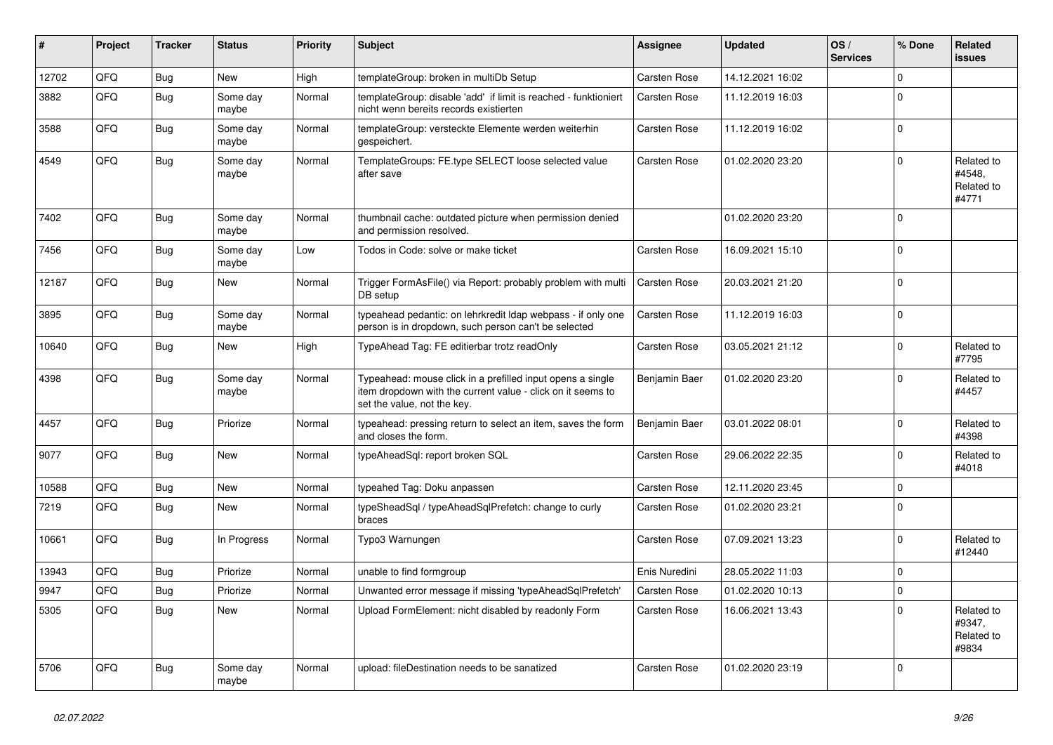| #     | Project | <b>Tracker</b> | <b>Status</b>     | <b>Priority</b> | <b>Subject</b>                                                                                                                                           | Assignee      | <b>Updated</b>   | OS/<br><b>Services</b> | % Done      | Related<br><b>issues</b>                    |
|-------|---------|----------------|-------------------|-----------------|----------------------------------------------------------------------------------------------------------------------------------------------------------|---------------|------------------|------------------------|-------------|---------------------------------------------|
| 12702 | QFQ     | <b>Bug</b>     | <b>New</b>        | High            | templateGroup: broken in multiDb Setup                                                                                                                   | Carsten Rose  | 14.12.2021 16:02 |                        | $\Omega$    |                                             |
| 3882  | QFQ     | <b>Bug</b>     | Some dav<br>maybe | Normal          | templateGroup: disable 'add' if limit is reached - funktioniert<br>nicht wenn bereits records existierten                                                | Carsten Rose  | 11.12.2019 16:03 |                        | $\Omega$    |                                             |
| 3588  | QFQ     | Bug            | Some day<br>maybe | Normal          | templateGroup: versteckte Elemente werden weiterhin<br>gespeichert.                                                                                      | Carsten Rose  | 11.12.2019 16:02 |                        | $\Omega$    |                                             |
| 4549  | QFQ     | <b>Bug</b>     | Some day<br>maybe | Normal          | TemplateGroups: FE.type SELECT loose selected value<br>after save                                                                                        | Carsten Rose  | 01.02.2020 23:20 |                        | $\Omega$    | Related to<br>#4548.<br>Related to<br>#4771 |
| 7402  | QFQ     | Bug            | Some day<br>maybe | Normal          | thumbnail cache: outdated picture when permission denied<br>and permission resolved.                                                                     |               | 01.02.2020 23:20 |                        | $\Omega$    |                                             |
| 7456  | QFQ     | Bug            | Some day<br>maybe | Low             | Todos in Code: solve or make ticket                                                                                                                      | Carsten Rose  | 16.09.2021 15:10 |                        | $\Omega$    |                                             |
| 12187 | QFQ     | <b>Bug</b>     | New               | Normal          | Trigger FormAsFile() via Report: probably problem with multi<br>DB setup                                                                                 | Carsten Rose  | 20.03.2021 21:20 |                        | $\Omega$    |                                             |
| 3895  | QFQ     | Bug            | Some day<br>maybe | Normal          | typeahead pedantic: on lehrkredit Idap webpass - if only one<br>person is in dropdown, such person can't be selected                                     | Carsten Rose  | 11.12.2019 16:03 |                        | $\Omega$    |                                             |
| 10640 | QFQ     | <b>Bug</b>     | New               | High            | TypeAhead Tag: FE editierbar trotz readOnly                                                                                                              | Carsten Rose  | 03.05.2021 21:12 |                        | $\Omega$    | Related to<br>#7795                         |
| 4398  | QFQ     | Bug            | Some day<br>maybe | Normal          | Typeahead: mouse click in a prefilled input opens a single<br>item dropdown with the current value - click on it seems to<br>set the value, not the key. | Benjamin Baer | 01.02.2020 23:20 |                        | $\Omega$    | Related to<br>#4457                         |
| 4457  | QFQ     | <b>Bug</b>     | Priorize          | Normal          | typeahead: pressing return to select an item, saves the form<br>and closes the form.                                                                     | Benjamin Baer | 03.01.2022 08:01 |                        | $\Omega$    | Related to<br>#4398                         |
| 9077  | QFQ     | <b>Bug</b>     | New               | Normal          | typeAheadSql: report broken SQL                                                                                                                          | Carsten Rose  | 29.06.2022 22:35 |                        | $\Omega$    | Related to<br>#4018                         |
| 10588 | QFQ     | Bug            | <b>New</b>        | Normal          | typeahed Tag: Doku anpassen                                                                                                                              | Carsten Rose  | 12.11.2020 23:45 |                        | $\Omega$    |                                             |
| 7219  | QFQ     | Bug            | New               | Normal          | typeSheadSql / typeAheadSqlPrefetch: change to curly<br>braces                                                                                           | Carsten Rose  | 01.02.2020 23:21 |                        | $\Omega$    |                                             |
| 10661 | QFQ     | <b>Bug</b>     | In Progress       | Normal          | Typo3 Warnungen                                                                                                                                          | Carsten Rose  | 07.09.2021 13:23 |                        | $\Omega$    | Related to<br>#12440                        |
| 13943 | QFQ     | Bug            | Priorize          | Normal          | unable to find formgroup                                                                                                                                 | Enis Nuredini | 28.05.2022 11:03 |                        | $\Omega$    |                                             |
| 9947  | QFQ     | Bug            | Priorize          | Normal          | Unwanted error message if missing 'typeAheadSqlPrefetch'                                                                                                 | Carsten Rose  | 01.02.2020 10:13 |                        | $\mathbf 0$ |                                             |
| 5305  | QFQ     | Bug            | New               | Normal          | Upload FormElement: nicht disabled by readonly Form                                                                                                      | Carsten Rose  | 16.06.2021 13:43 |                        | $\Omega$    | Related to<br>#9347,<br>Related to<br>#9834 |
| 5706  | QFQ     | Bug            | Some day<br>maybe | Normal          | upload: fileDestination needs to be sanatized                                                                                                            | Carsten Rose  | 01.02.2020 23:19 |                        | $\Omega$    |                                             |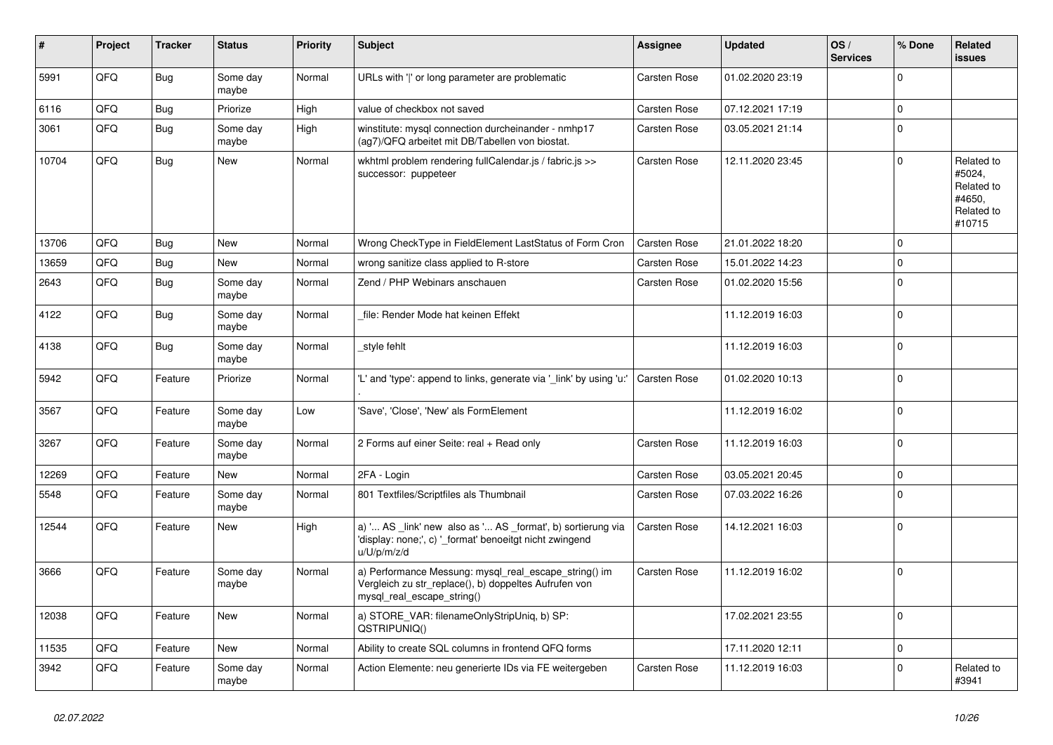| #     | Project | <b>Tracker</b> | <b>Status</b>     | <b>Priority</b> | <b>Subject</b>                                                                                                                               | <b>Assignee</b>     | <b>Updated</b>   | OS/<br><b>Services</b> | % Done       | Related<br><b>issues</b>                                             |
|-------|---------|----------------|-------------------|-----------------|----------------------------------------------------------------------------------------------------------------------------------------------|---------------------|------------------|------------------------|--------------|----------------------------------------------------------------------|
| 5991  | QFQ     | Bug            | Some day<br>maybe | Normal          | URLs with ' ' or long parameter are problematic                                                                                              | Carsten Rose        | 01.02.2020 23:19 |                        | $\mathbf 0$  |                                                                      |
| 6116  | QFQ     | <b>Bug</b>     | Priorize          | High            | value of checkbox not saved                                                                                                                  | Carsten Rose        | 07.12.2021 17:19 |                        | $\pmb{0}$    |                                                                      |
| 3061  | QFQ     | <b>Bug</b>     | Some day<br>maybe | High            | winstitute: mysql connection durcheinander - nmhp17<br>(ag7)/QFQ arbeitet mit DB/Tabellen von biostat.                                       | Carsten Rose        | 03.05.2021 21:14 |                        | $\pmb{0}$    |                                                                      |
| 10704 | QFQ     | <b>Bug</b>     | <b>New</b>        | Normal          | wkhtml problem rendering fullCalendar.js / fabric.js >><br>successor: puppeteer                                                              | Carsten Rose        | 12.11.2020 23:45 |                        | $\mathbf 0$  | Related to<br>#5024,<br>Related to<br>#4650,<br>Related to<br>#10715 |
| 13706 | QFQ     | Bug            | New               | Normal          | Wrong CheckType in FieldElement LastStatus of Form Cron                                                                                      | <b>Carsten Rose</b> | 21.01.2022 18:20 |                        | $\mathbf 0$  |                                                                      |
| 13659 | QFQ     | Bug            | New               | Normal          | wrong sanitize class applied to R-store                                                                                                      | <b>Carsten Rose</b> | 15.01.2022 14:23 |                        | $\pmb{0}$    |                                                                      |
| 2643  | QFQ     | <b>Bug</b>     | Some day<br>maybe | Normal          | Zend / PHP Webinars anschauen                                                                                                                | Carsten Rose        | 01.02.2020 15:56 |                        | $\mathbf 0$  |                                                                      |
| 4122  | QFQ     | Bug            | Some day<br>maybe | Normal          | file: Render Mode hat keinen Effekt                                                                                                          |                     | 11.12.2019 16:03 |                        | $\mathbf 0$  |                                                                      |
| 4138  | QFQ     | Bug            | Some day<br>maybe | Normal          | style fehlt                                                                                                                                  |                     | 11.12.2019 16:03 |                        | $\pmb{0}$    |                                                                      |
| 5942  | QFQ     | Feature        | Priorize          | Normal          | "L' and 'type': append to links, generate via ' link' by using 'u:"                                                                          | <b>Carsten Rose</b> | 01.02.2020 10:13 |                        | $\mathbf 0$  |                                                                      |
| 3567  | QFQ     | Feature        | Some day<br>maybe | Low             | 'Save', 'Close', 'New' als FormElement                                                                                                       |                     | 11.12.2019 16:02 |                        | $\mathbf 0$  |                                                                      |
| 3267  | QFQ     | Feature        | Some day<br>maybe | Normal          | 2 Forms auf einer Seite: real + Read only                                                                                                    | Carsten Rose        | 11.12.2019 16:03 |                        | $\mathbf 0$  |                                                                      |
| 12269 | QFQ     | Feature        | <b>New</b>        | Normal          | 2FA - Login                                                                                                                                  | Carsten Rose        | 03.05.2021 20:45 |                        | $\mathbf 0$  |                                                                      |
| 5548  | QFQ     | Feature        | Some day<br>maybe | Normal          | 801 Textfiles/Scriptfiles als Thumbnail                                                                                                      | Carsten Rose        | 07.03.2022 16:26 |                        | $\mathbf 0$  |                                                                      |
| 12544 | QFQ     | Feature        | New               | High            | a) ' AS link' new also as ' AS format', b) sortierung via<br>'display: none;', c) '_format' benoeitgt nicht zwingend<br>u/U/p/m/z/d          | Carsten Rose        | 14.12.2021 16:03 |                        | $\Omega$     |                                                                      |
| 3666  | QFQ     | Feature        | Some day<br>maybe | Normal          | a) Performance Messung: mysql_real_escape_string() im<br>Vergleich zu str_replace(), b) doppeltes Aufrufen von<br>mysql_real_escape_string() | Carsten Rose        | 11.12.2019 16:02 |                        | $\pmb{0}$    |                                                                      |
| 12038 | QFQ     | Feature        | New               | Normal          | a) STORE_VAR: filenameOnlyStripUniq, b) SP:<br>QSTRIPUNIQ()                                                                                  |                     | 17.02.2021 23:55 |                        | $\mathbf 0$  |                                                                      |
| 11535 | QFQ     | Feature        | <b>New</b>        | Normal          | Ability to create SQL columns in frontend QFQ forms                                                                                          |                     | 17.11.2020 12:11 |                        | $\mathbf{0}$ |                                                                      |
| 3942  | QFQ     | Feature        | Some day<br>maybe | Normal          | Action Elemente: neu generierte IDs via FE weitergeben                                                                                       | Carsten Rose        | 11.12.2019 16:03 |                        | $\mathbf 0$  | Related to<br>#3941                                                  |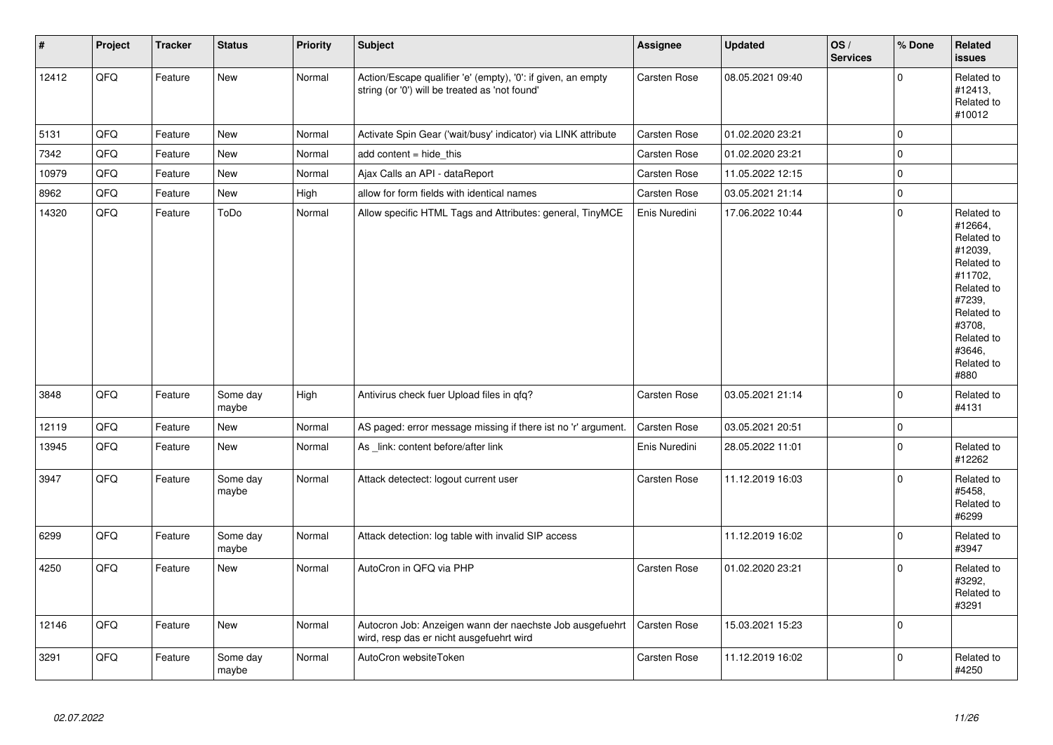| $\vert$ # | Project | <b>Tracker</b> | <b>Status</b>     | <b>Priority</b> | <b>Subject</b>                                                                                                 | <b>Assignee</b>     | <b>Updated</b>   | OS/<br><b>Services</b> | % Done      | Related<br><b>issues</b>                                                                                                                                              |
|-----------|---------|----------------|-------------------|-----------------|----------------------------------------------------------------------------------------------------------------|---------------------|------------------|------------------------|-------------|-----------------------------------------------------------------------------------------------------------------------------------------------------------------------|
| 12412     | QFQ     | Feature        | New               | Normal          | Action/Escape qualifier 'e' (empty), '0': if given, an empty<br>string (or '0') will be treated as 'not found' | Carsten Rose        | 08.05.2021 09:40 |                        | $\Omega$    | Related to<br>#12413,<br>Related to<br>#10012                                                                                                                         |
| 5131      | QFQ     | Feature        | <b>New</b>        | Normal          | Activate Spin Gear ('wait/busy' indicator) via LINK attribute                                                  | Carsten Rose        | 01.02.2020 23:21 |                        | $\mathbf 0$ |                                                                                                                                                                       |
| 7342      | QFQ     | Feature        | <b>New</b>        | Normal          | add content = hide this                                                                                        | <b>Carsten Rose</b> | 01.02.2020 23:21 |                        | $\Omega$    |                                                                                                                                                                       |
| 10979     | QFQ     | Feature        | New               | Normal          | Ajax Calls an API - dataReport                                                                                 | Carsten Rose        | 11.05.2022 12:15 |                        | $\mathbf 0$ |                                                                                                                                                                       |
| 8962      | QFQ     | Feature        | New               | High            | allow for form fields with identical names                                                                     | Carsten Rose        | 03.05.2021 21:14 |                        | $\pmb{0}$   |                                                                                                                                                                       |
| 14320     | QFQ     | Feature        | ToDo              | Normal          | Allow specific HTML Tags and Attributes: general, TinyMCE                                                      | Enis Nuredini       | 17.06.2022 10:44 |                        | $\Omega$    | Related to<br>#12664,<br>Related to<br>#12039,<br>Related to<br>#11702,<br>Related to<br>#7239,<br>Related to<br>#3708,<br>Related to<br>#3646.<br>Related to<br>#880 |
| 3848      | QFQ     | Feature        | Some day<br>maybe | High            | Antivirus check fuer Upload files in qfq?                                                                      | Carsten Rose        | 03.05.2021 21:14 |                        | $\Omega$    | Related to<br>#4131                                                                                                                                                   |
| 12119     | QFQ     | Feature        | <b>New</b>        | Normal          | AS paged: error message missing if there ist no 'r' argument.                                                  | Carsten Rose        | 03.05.2021 20:51 |                        | $\pmb{0}$   |                                                                                                                                                                       |
| 13945     | QFQ     | Feature        | New               | Normal          | As link: content before/after link                                                                             | Enis Nuredini       | 28.05.2022 11:01 |                        | $\Omega$    | Related to<br>#12262                                                                                                                                                  |
| 3947      | QFQ     | Feature        | Some day<br>maybe | Normal          | Attack detectect: logout current user                                                                          | <b>Carsten Rose</b> | 11.12.2019 16:03 |                        | $\pmb{0}$   | Related to<br>#5458,<br>Related to<br>#6299                                                                                                                           |
| 6299      | QFQ     | Feature        | Some day<br>maybe | Normal          | Attack detection: log table with invalid SIP access                                                            |                     | 11.12.2019 16:02 |                        | $\pmb{0}$   | Related to<br>#3947                                                                                                                                                   |
| 4250      | QFQ     | Feature        | New               | Normal          | AutoCron in QFQ via PHP                                                                                        | <b>Carsten Rose</b> | 01.02.2020 23:21 |                        | $\Omega$    | Related to<br>#3292,<br>Related to<br>#3291                                                                                                                           |
| 12146     | QFQ     | Feature        | New               | Normal          | Autocron Job: Anzeigen wann der naechste Job ausgefuehrt<br>wird, resp das er nicht ausgefuehrt wird           | Carsten Rose        | 15.03.2021 15:23 |                        | $\mathbf 0$ |                                                                                                                                                                       |
| 3291      | QFQ     | Feature        | Some day<br>maybe | Normal          | AutoCron websiteToken                                                                                          | <b>Carsten Rose</b> | 11.12.2019 16:02 |                        | $\Omega$    | Related to<br>#4250                                                                                                                                                   |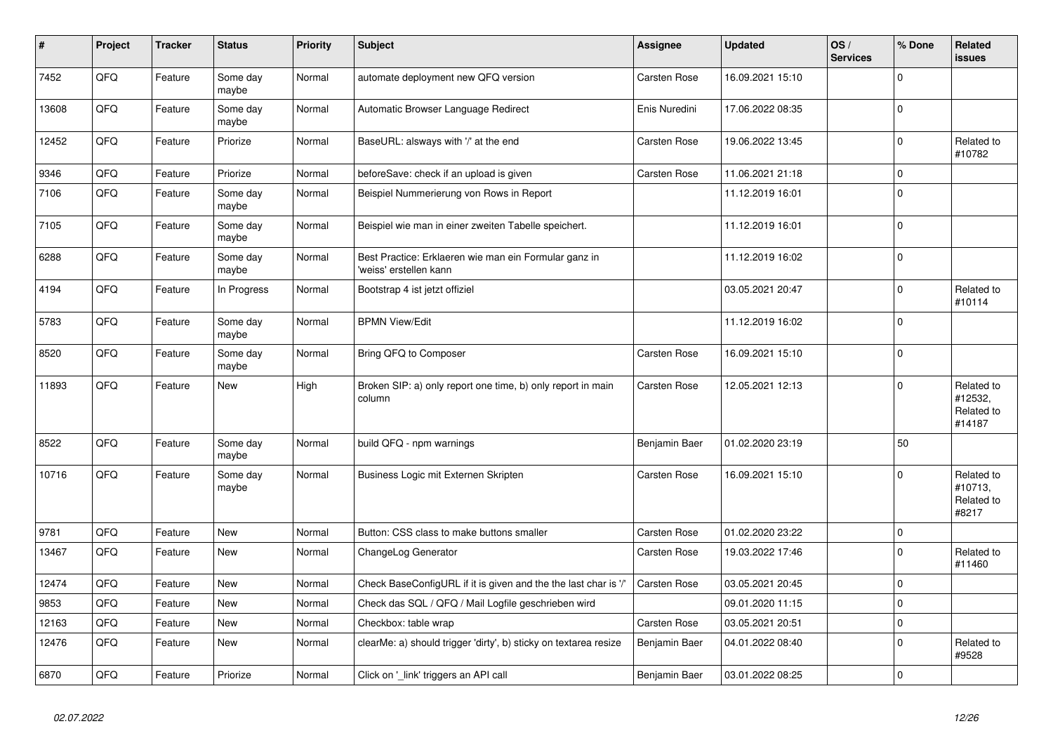| $\vert$ # | Project | <b>Tracker</b> | <b>Status</b>     | <b>Priority</b> | Subject                                                                         | Assignee      | <b>Updated</b>   | OS/<br><b>Services</b> | % Done       | Related<br><b>issues</b>                      |
|-----------|---------|----------------|-------------------|-----------------|---------------------------------------------------------------------------------|---------------|------------------|------------------------|--------------|-----------------------------------------------|
| 7452      | QFQ     | Feature        | Some day<br>maybe | Normal          | automate deployment new QFQ version                                             | Carsten Rose  | 16.09.2021 15:10 |                        | $\Omega$     |                                               |
| 13608     | QFQ     | Feature        | Some day<br>maybe | Normal          | Automatic Browser Language Redirect                                             | Enis Nuredini | 17.06.2022 08:35 |                        | $\Omega$     |                                               |
| 12452     | QFQ     | Feature        | Priorize          | Normal          | BaseURL: alsways with '/' at the end                                            | Carsten Rose  | 19.06.2022 13:45 |                        | $\mathbf 0$  | Related to<br>#10782                          |
| 9346      | QFQ     | Feature        | Priorize          | Normal          | beforeSave: check if an upload is given                                         | Carsten Rose  | 11.06.2021 21:18 |                        | $\Omega$     |                                               |
| 7106      | QFQ     | Feature        | Some day<br>maybe | Normal          | Beispiel Nummerierung von Rows in Report                                        |               | 11.12.2019 16:01 |                        | $\mathbf 0$  |                                               |
| 7105      | QFQ     | Feature        | Some day<br>maybe | Normal          | Beispiel wie man in einer zweiten Tabelle speichert.                            |               | 11.12.2019 16:01 |                        | $\Omega$     |                                               |
| 6288      | QFQ     | Feature        | Some day<br>maybe | Normal          | Best Practice: Erklaeren wie man ein Formular ganz in<br>'weiss' erstellen kann |               | 11.12.2019 16:02 |                        | $\Omega$     |                                               |
| 4194      | QFQ     | Feature        | In Progress       | Normal          | Bootstrap 4 ist jetzt offiziel                                                  |               | 03.05.2021 20:47 |                        | $\mathbf 0$  | Related to<br>#10114                          |
| 5783      | QFQ     | Feature        | Some day<br>maybe | Normal          | <b>BPMN View/Edit</b>                                                           |               | 11.12.2019 16:02 |                        | $\Omega$     |                                               |
| 8520      | QFQ     | Feature        | Some day<br>maybe | Normal          | Bring QFQ to Composer                                                           | Carsten Rose  | 16.09.2021 15:10 |                        | $\Omega$     |                                               |
| 11893     | QFQ     | Feature        | New               | High            | Broken SIP: a) only report one time, b) only report in main<br>column           | Carsten Rose  | 12.05.2021 12:13 |                        | $\mathbf 0$  | Related to<br>#12532,<br>Related to<br>#14187 |
| 8522      | QFQ     | Feature        | Some day<br>maybe | Normal          | build QFQ - npm warnings                                                        | Benjamin Baer | 01.02.2020 23:19 |                        | 50           |                                               |
| 10716     | QFQ     | Feature        | Some day<br>maybe | Normal          | Business Logic mit Externen Skripten                                            | Carsten Rose  | 16.09.2021 15:10 |                        | $\Omega$     | Related to<br>#10713,<br>Related to<br>#8217  |
| 9781      | QFQ     | Feature        | <b>New</b>        | Normal          | Button: CSS class to make buttons smaller                                       | Carsten Rose  | 01.02.2020 23:22 |                        | 0            |                                               |
| 13467     | QFQ     | Feature        | <b>New</b>        | Normal          | ChangeLog Generator                                                             | Carsten Rose  | 19.03.2022 17:46 |                        | $\Omega$     | Related to<br>#11460                          |
| 12474     | QFQ     | Feature        | <b>New</b>        | Normal          | Check BaseConfigURL if it is given and the the last char is '/'                 | Carsten Rose  | 03.05.2021 20:45 |                        | $\mathbf{0}$ |                                               |
| 9853      | QFQ     | Feature        | New               | Normal          | Check das SQL / QFQ / Mail Logfile geschrieben wird                             |               | 09.01.2020 11:15 |                        | $\mathbf 0$  |                                               |
| 12163     | QFQ     | Feature        | <b>New</b>        | Normal          | Checkbox: table wrap                                                            | Carsten Rose  | 03.05.2021 20:51 |                        | $\mathbf 0$  |                                               |
| 12476     | QFQ     | Feature        | <b>New</b>        | Normal          | clearMe: a) should trigger 'dirty', b) sticky on textarea resize                | Benjamin Baer | 04.01.2022 08:40 |                        | $\Omega$     | Related to<br>#9528                           |
| 6870      | QFQ     | Feature        | Priorize          | Normal          | Click on 'link' triggers an API call                                            | Benjamin Baer | 03.01.2022 08:25 |                        | $\mathbf 0$  |                                               |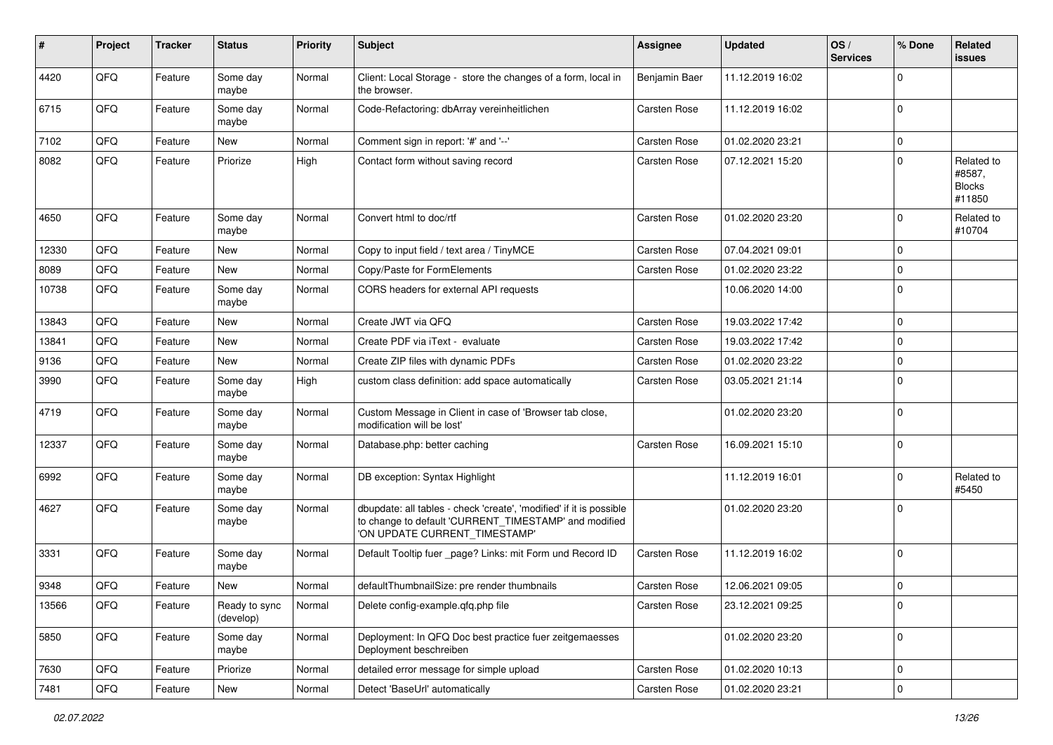| #     | Project | <b>Tracker</b> | <b>Status</b>              | <b>Priority</b> | <b>Subject</b>                                                                                                                                                | <b>Assignee</b> | <b>Updated</b>   | OS/<br><b>Services</b> | % Done         | Related<br><b>issues</b>                        |
|-------|---------|----------------|----------------------------|-----------------|---------------------------------------------------------------------------------------------------------------------------------------------------------------|-----------------|------------------|------------------------|----------------|-------------------------------------------------|
| 4420  | QFQ     | Feature        | Some day<br>maybe          | Normal          | Client: Local Storage - store the changes of a form, local in<br>the browser.                                                                                 | Benjamin Baer   | 11.12.2019 16:02 |                        | $\mathbf 0$    |                                                 |
| 6715  | QFQ     | Feature        | Some day<br>maybe          | Normal          | Code-Refactoring: dbArray vereinheitlichen                                                                                                                    | Carsten Rose    | 11.12.2019 16:02 |                        | $\mathbf 0$    |                                                 |
| 7102  | QFQ     | Feature        | New                        | Normal          | Comment sign in report: '#' and '--'                                                                                                                          | Carsten Rose    | 01.02.2020 23:21 |                        | $\mathbf 0$    |                                                 |
| 8082  | QFQ     | Feature        | Priorize                   | High            | Contact form without saving record                                                                                                                            | Carsten Rose    | 07.12.2021 15:20 |                        | $\Omega$       | Related to<br>#8587,<br><b>Blocks</b><br>#11850 |
| 4650  | QFQ     | Feature        | Some day<br>maybe          | Normal          | Convert html to doc/rtf                                                                                                                                       | Carsten Rose    | 01.02.2020 23:20 |                        | $\mathbf 0$    | Related to<br>#10704                            |
| 12330 | QFQ     | Feature        | <b>New</b>                 | Normal          | Copy to input field / text area / TinyMCE                                                                                                                     | Carsten Rose    | 07.04.2021 09:01 |                        | $\mathbf 0$    |                                                 |
| 8089  | QFQ     | Feature        | <b>New</b>                 | Normal          | Copy/Paste for FormElements                                                                                                                                   | Carsten Rose    | 01.02.2020 23:22 |                        | $\mathbf 0$    |                                                 |
| 10738 | QFQ     | Feature        | Some day<br>maybe          | Normal          | CORS headers for external API requests                                                                                                                        |                 | 10.06.2020 14:00 |                        | $\mathbf 0$    |                                                 |
| 13843 | QFQ     | Feature        | <b>New</b>                 | Normal          | Create JWT via QFQ                                                                                                                                            | Carsten Rose    | 19.03.2022 17:42 |                        | $\mathbf 0$    |                                                 |
| 13841 | QFQ     | Feature        | New                        | Normal          | Create PDF via iText - evaluate                                                                                                                               | Carsten Rose    | 19.03.2022 17:42 |                        | $\mathbf 0$    |                                                 |
| 9136  | QFQ     | Feature        | New                        | Normal          | Create ZIP files with dynamic PDFs                                                                                                                            | Carsten Rose    | 01.02.2020 23:22 |                        | $\mathbf 0$    |                                                 |
| 3990  | QFQ     | Feature        | Some day<br>maybe          | High            | custom class definition: add space automatically                                                                                                              | Carsten Rose    | 03.05.2021 21:14 |                        | $\mathbf 0$    |                                                 |
| 4719  | QFQ     | Feature        | Some day<br>maybe          | Normal          | Custom Message in Client in case of 'Browser tab close,<br>modification will be lost'                                                                         |                 | 01.02.2020 23:20 |                        | $\mathbf 0$    |                                                 |
| 12337 | QFQ     | Feature        | Some day<br>maybe          | Normal          | Database.php: better caching                                                                                                                                  | Carsten Rose    | 16.09.2021 15:10 |                        | $\mathbf 0$    |                                                 |
| 6992  | QFQ     | Feature        | Some day<br>maybe          | Normal          | DB exception: Syntax Highlight                                                                                                                                |                 | 11.12.2019 16:01 |                        | $\mathbf 0$    | Related to<br>#5450                             |
| 4627  | QFQ     | Feature        | Some day<br>maybe          | Normal          | dbupdate: all tables - check 'create', 'modified' if it is possible<br>to change to default 'CURRENT_TIMESTAMP' and modified<br>'ON UPDATE CURRENT TIMESTAMP' |                 | 01.02.2020 23:20 |                        | $\Omega$       |                                                 |
| 3331  | QFQ     | Feature        | Some day<br>maybe          | Normal          | Default Tooltip fuer _page? Links: mit Form und Record ID                                                                                                     | Carsten Rose    | 11.12.2019 16:02 |                        | $\mathbf 0$    |                                                 |
| 9348  | QFQ     | Feature        | <b>New</b>                 | Normal          | defaultThumbnailSize: pre render thumbnails                                                                                                                   | Carsten Rose    | 12.06.2021 09:05 |                        | $\mathbf 0$    |                                                 |
| 13566 | QFG     | Feature        | Ready to sync<br>(develop) | Normal          | Delete config-example.qfq.php file                                                                                                                            | Carsten Rose    | 23.12.2021 09:25 |                        | 0              |                                                 |
| 5850  | QFQ     | Feature        | Some day<br>maybe          | Normal          | Deployment: In QFQ Doc best practice fuer zeitgemaesses<br>Deployment beschreiben                                                                             |                 | 01.02.2020 23:20 |                        | $\overline{0}$ |                                                 |
| 7630  | QFQ     | Feature        | Priorize                   | Normal          | detailed error message for simple upload                                                                                                                      | Carsten Rose    | 01.02.2020 10:13 |                        | $\mathbf 0$    |                                                 |
| 7481  | QFQ     | Feature        | New                        | Normal          | Detect 'BaseUrl' automatically                                                                                                                                | Carsten Rose    | 01.02.2020 23:21 |                        | $\pmb{0}$      |                                                 |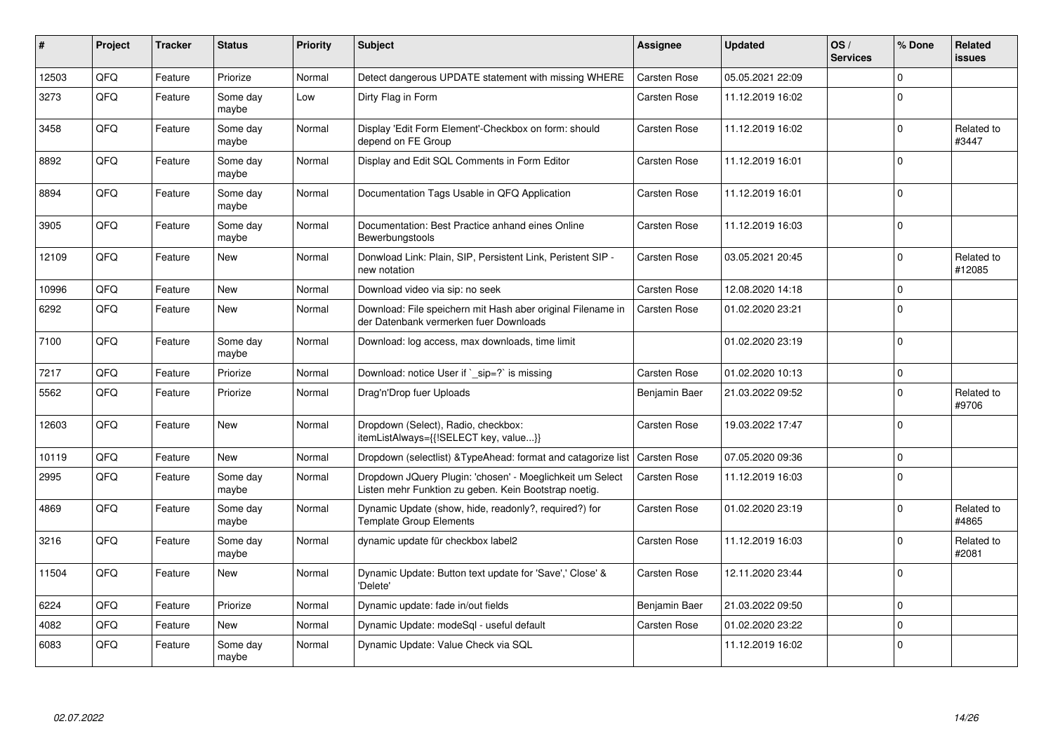| #     | Project | <b>Tracker</b> | <b>Status</b>     | <b>Priority</b> | Subject                                                                                                            | <b>Assignee</b>     | <b>Updated</b>   | OS/<br><b>Services</b> | % Done       | Related<br><b>issues</b> |
|-------|---------|----------------|-------------------|-----------------|--------------------------------------------------------------------------------------------------------------------|---------------------|------------------|------------------------|--------------|--------------------------|
| 12503 | QFQ     | Feature        | Priorize          | Normal          | Detect dangerous UPDATE statement with missing WHERE                                                               | Carsten Rose        | 05.05.2021 22:09 |                        | $\Omega$     |                          |
| 3273  | QFQ     | Feature        | Some day<br>maybe | Low             | Dirty Flag in Form                                                                                                 | Carsten Rose        | 11.12.2019 16:02 |                        | 0            |                          |
| 3458  | QFQ     | Feature        | Some day<br>maybe | Normal          | Display 'Edit Form Element'-Checkbox on form: should<br>depend on FE Group                                         | Carsten Rose        | 11.12.2019 16:02 |                        | $\Omega$     | Related to<br>#3447      |
| 8892  | QFQ     | Feature        | Some day<br>maybe | Normal          | Display and Edit SQL Comments in Form Editor                                                                       | Carsten Rose        | 11.12.2019 16:01 |                        | $\Omega$     |                          |
| 8894  | QFQ     | Feature        | Some day<br>maybe | Normal          | Documentation Tags Usable in QFQ Application                                                                       | Carsten Rose        | 11.12.2019 16:01 |                        | $\Omega$     |                          |
| 3905  | QFQ     | Feature        | Some day<br>maybe | Normal          | Documentation: Best Practice anhand eines Online<br>Bewerbungstools                                                | Carsten Rose        | 11.12.2019 16:03 |                        | $\Omega$     |                          |
| 12109 | QFQ     | Feature        | <b>New</b>        | Normal          | Donwload Link: Plain, SIP, Persistent Link, Peristent SIP -<br>new notation                                        | Carsten Rose        | 03.05.2021 20:45 |                        | $\mathbf{0}$ | Related to<br>#12085     |
| 10996 | QFQ     | Feature        | <b>New</b>        | Normal          | Download video via sip: no seek                                                                                    | Carsten Rose        | 12.08.2020 14:18 |                        | $\Omega$     |                          |
| 6292  | QFQ     | Feature        | New               | Normal          | Download: File speichern mit Hash aber original Filename in<br>der Datenbank vermerken fuer Downloads              | Carsten Rose        | 01.02.2020 23:21 |                        | $\Omega$     |                          |
| 7100  | QFQ     | Feature        | Some day<br>maybe | Normal          | Download: log access, max downloads, time limit                                                                    |                     | 01.02.2020 23:19 |                        | $\Omega$     |                          |
| 7217  | QFQ     | Feature        | Priorize          | Normal          | Download: notice User if `_sip=?` is missing                                                                       | Carsten Rose        | 01.02.2020 10:13 |                        | $\Omega$     |                          |
| 5562  | QFQ     | Feature        | Priorize          | Normal          | Drag'n'Drop fuer Uploads                                                                                           | Benjamin Baer       | 21.03.2022 09:52 |                        | $\mathbf{0}$ | Related to<br>#9706      |
| 12603 | QFQ     | Feature        | <b>New</b>        | Normal          | Dropdown (Select), Radio, checkbox:<br>itemListAlways={{!SELECT key, value}}                                       | Carsten Rose        | 19.03.2022 17:47 |                        | $\Omega$     |                          |
| 10119 | QFQ     | Feature        | <b>New</b>        | Normal          | Dropdown (selectlist) & Type Ahead: format and catagorize list                                                     | <b>Carsten Rose</b> | 07.05.2020 09:36 |                        | $\mathbf 0$  |                          |
| 2995  | QFQ     | Feature        | Some day<br>maybe | Normal          | Dropdown JQuery Plugin: 'chosen' - Moeglichkeit um Select<br>Listen mehr Funktion zu geben. Kein Bootstrap noetig. | Carsten Rose        | 11.12.2019 16:03 |                        | $\Omega$     |                          |
| 4869  | QFQ     | Feature        | Some day<br>maybe | Normal          | Dynamic Update (show, hide, readonly?, required?) for<br><b>Template Group Elements</b>                            | Carsten Rose        | 01.02.2020 23:19 |                        | $\Omega$     | Related to<br>#4865      |
| 3216  | QFQ     | Feature        | Some day<br>maybe | Normal          | dynamic update für checkbox label2                                                                                 | Carsten Rose        | 11.12.2019 16:03 |                        | $\mathbf{0}$ | Related to<br>#2081      |
| 11504 | QFQ     | Feature        | <b>New</b>        | Normal          | Dynamic Update: Button text update for 'Save',' Close' &<br>'Delete'                                               | Carsten Rose        | 12.11.2020 23:44 |                        | $\Omega$     |                          |
| 6224  | QFQ     | Feature        | Priorize          | Normal          | Dynamic update: fade in/out fields                                                                                 | Benjamin Baer       | 21.03.2022 09:50 |                        | $\mathbf 0$  |                          |
| 4082  | QFQ     | Feature        | <b>New</b>        | Normal          | Dynamic Update: modeSql - useful default                                                                           | Carsten Rose        | 01.02.2020 23:22 |                        | $\mathbf 0$  |                          |
| 6083  | QFQ     | Feature        | Some day<br>maybe | Normal          | Dynamic Update: Value Check via SQL                                                                                |                     | 11.12.2019 16:02 |                        | $\Omega$     |                          |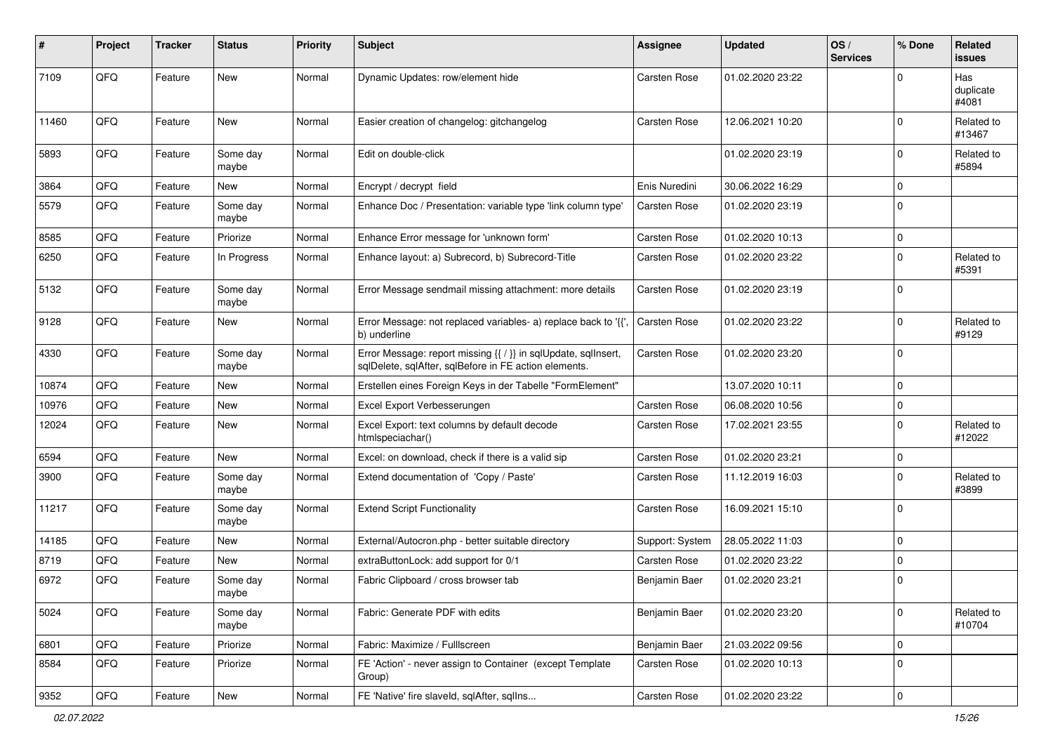| #     | Project | <b>Tracker</b> | <b>Status</b>     | <b>Priority</b> | <b>Subject</b>                                                                                                          | <b>Assignee</b> | <b>Updated</b>   | OS/<br><b>Services</b> | % Done         | Related<br><b>issues</b>  |
|-------|---------|----------------|-------------------|-----------------|-------------------------------------------------------------------------------------------------------------------------|-----------------|------------------|------------------------|----------------|---------------------------|
| 7109  | QFQ     | Feature        | <b>New</b>        | Normal          | Dynamic Updates: row/element hide                                                                                       | Carsten Rose    | 01.02.2020 23:22 |                        | $\Omega$       | Has<br>duplicate<br>#4081 |
| 11460 | QFQ     | Feature        | <b>New</b>        | Normal          | Easier creation of changelog: gitchangelog                                                                              | Carsten Rose    | 12.06.2021 10:20 |                        | $\Omega$       | Related to<br>#13467      |
| 5893  | QFQ     | Feature        | Some day<br>maybe | Normal          | Edit on double-click                                                                                                    |                 | 01.02.2020 23:19 |                        | $\overline{0}$ | Related to<br>#5894       |
| 3864  | QFQ     | Feature        | New               | Normal          | Encrypt / decrypt field                                                                                                 | Enis Nuredini   | 30.06.2022 16:29 |                        | $\Omega$       |                           |
| 5579  | QFQ     | Feature        | Some day<br>maybe | Normal          | Enhance Doc / Presentation: variable type 'link column type'                                                            | Carsten Rose    | 01.02.2020 23:19 |                        | $\mathbf 0$    |                           |
| 8585  | QFQ     | Feature        | Priorize          | Normal          | Enhance Error message for 'unknown form'                                                                                | Carsten Rose    | 01.02.2020 10:13 |                        | $\mathbf 0$    |                           |
| 6250  | QFQ     | Feature        | In Progress       | Normal          | Enhance layout: a) Subrecord, b) Subrecord-Title                                                                        | Carsten Rose    | 01.02.2020 23:22 |                        | $\mathbf 0$    | Related to<br>#5391       |
| 5132  | QFQ     | Feature        | Some day<br>maybe | Normal          | Error Message sendmail missing attachment: more details                                                                 | Carsten Rose    | 01.02.2020 23:19 |                        | 0              |                           |
| 9128  | QFQ     | Feature        | New               | Normal          | Error Message: not replaced variables- a) replace back to '{{'<br>b) underline                                          | Carsten Rose    | 01.02.2020 23:22 |                        | $\Omega$       | Related to<br>#9129       |
| 4330  | QFQ     | Feature        | Some day<br>maybe | Normal          | Error Message: report missing {{ / }} in sqlUpdate, sqlInsert,<br>sqlDelete, sqlAfter, sqlBefore in FE action elements. | Carsten Rose    | 01.02.2020 23:20 |                        | $\mathbf 0$    |                           |
| 10874 | QFQ     | Feature        | <b>New</b>        | Normal          | Erstellen eines Foreign Keys in der Tabelle "FormElement"                                                               |                 | 13.07.2020 10:11 |                        | $\mathbf 0$    |                           |
| 10976 | QFQ     | Feature        | New               | Normal          | Excel Export Verbesserungen                                                                                             | Carsten Rose    | 06.08.2020 10:56 |                        | $\mathbf 0$    |                           |
| 12024 | QFQ     | Feature        | New               | Normal          | Excel Export: text columns by default decode<br>htmlspeciachar()                                                        | Carsten Rose    | 17.02.2021 23:55 |                        | $\mathbf 0$    | Related to<br>#12022      |
| 6594  | QFQ     | Feature        | <b>New</b>        | Normal          | Excel: on download, check if there is a valid sip                                                                       | Carsten Rose    | 01.02.2020 23:21 |                        | 0              |                           |
| 3900  | QFQ     | Feature        | Some day<br>maybe | Normal          | Extend documentation of 'Copy / Paste'                                                                                  | Carsten Rose    | 11.12.2019 16:03 |                        | $\Omega$       | Related to<br>#3899       |
| 11217 | QFQ     | Feature        | Some day<br>maybe | Normal          | <b>Extend Script Functionality</b>                                                                                      | Carsten Rose    | 16.09.2021 15:10 |                        | $\mathbf 0$    |                           |
| 14185 | QFQ     | Feature        | New               | Normal          | External/Autocron.php - better suitable directory                                                                       | Support: System | 28.05.2022 11:03 |                        | 0              |                           |
| 8719  | QFQ     | Feature        | <b>New</b>        | Normal          | extraButtonLock: add support for 0/1                                                                                    | Carsten Rose    | 01.02.2020 23:22 |                        | $\mathbf 0$    |                           |
| 6972  | QFQ     | Feature        | Some day<br>maybe | Normal          | Fabric Clipboard / cross browser tab                                                                                    | Benjamin Baer   | 01.02.2020 23:21 |                        | 0              |                           |
| 5024  | QFQ     | Feature        | Some day<br>maybe | Normal          | Fabric: Generate PDF with edits                                                                                         | Benjamin Baer   | 01.02.2020 23:20 |                        | 0              | Related to<br>#10704      |
| 6801  | QFQ     | Feature        | Priorize          | Normal          | Fabric: Maximize / FullIscreen                                                                                          | Benjamin Baer   | 21.03.2022 09:56 |                        | 0              |                           |
| 8584  | QFQ     | Feature        | Priorize          | Normal          | FE 'Action' - never assign to Container (except Template<br>Group)                                                      | Carsten Rose    | 01.02.2020 10:13 |                        | 0              |                           |
| 9352  | QFQ     | Feature        | New               | Normal          | FE 'Native' fire slaveld, sqlAfter, sqlIns                                                                              | Carsten Rose    | 01.02.2020 23:22 |                        | $\pmb{0}$      |                           |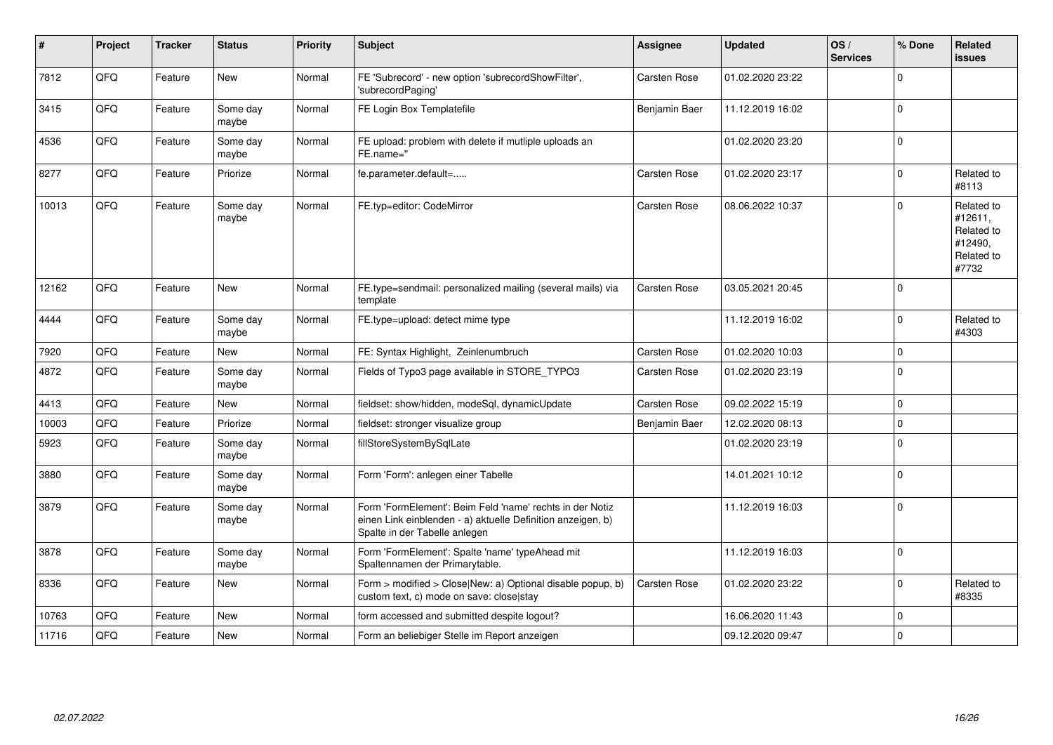| #     | Project | <b>Tracker</b> | <b>Status</b>     | <b>Priority</b> | <b>Subject</b>                                                                                                                                           | <b>Assignee</b> | <b>Updated</b>   | OS/<br><b>Services</b> | % Done      | <b>Related</b><br><b>issues</b>                                       |
|-------|---------|----------------|-------------------|-----------------|----------------------------------------------------------------------------------------------------------------------------------------------------------|-----------------|------------------|------------------------|-------------|-----------------------------------------------------------------------|
| 7812  | QFQ     | Feature        | <b>New</b>        | Normal          | FE 'Subrecord' - new option 'subrecordShowFilter',<br>'subrecordPaging'                                                                                  | Carsten Rose    | 01.02.2020 23:22 |                        | $\Omega$    |                                                                       |
| 3415  | QFQ     | Feature        | Some day<br>maybe | Normal          | FE Login Box Templatefile                                                                                                                                | Benjamin Baer   | 11.12.2019 16:02 |                        | $\mathbf 0$ |                                                                       |
| 4536  | QFQ     | Feature        | Some day<br>maybe | Normal          | FE upload: problem with delete if mutliple uploads an<br>FE.name="                                                                                       |                 | 01.02.2020 23:20 |                        | $\Omega$    |                                                                       |
| 8277  | QFQ     | Feature        | Priorize          | Normal          | fe.parameter.default=                                                                                                                                    | Carsten Rose    | 01.02.2020 23:17 |                        | $\mathbf 0$ | Related to<br>#8113                                                   |
| 10013 | QFQ     | Feature        | Some day<br>maybe | Normal          | FE.typ=editor: CodeMirror                                                                                                                                | Carsten Rose    | 08.06.2022 10:37 |                        | $\mathbf 0$ | Related to<br>#12611,<br>Related to<br>#12490,<br>Related to<br>#7732 |
| 12162 | QFQ     | Feature        | New               | Normal          | FE.type=sendmail: personalized mailing (several mails) via<br>template                                                                                   | Carsten Rose    | 03.05.2021 20:45 |                        | $\mathbf 0$ |                                                                       |
| 4444  | QFQ     | Feature        | Some day<br>maybe | Normal          | FE.type=upload: detect mime type                                                                                                                         |                 | 11.12.2019 16:02 |                        | $\mathbf 0$ | Related to<br>#4303                                                   |
| 7920  | QFQ     | Feature        | <b>New</b>        | Normal          | FE: Syntax Highlight, Zeinlenumbruch                                                                                                                     | Carsten Rose    | 01.02.2020 10:03 |                        | $\mathbf 0$ |                                                                       |
| 4872  | QFQ     | Feature        | Some day<br>maybe | Normal          | Fields of Typo3 page available in STORE_TYPO3                                                                                                            | Carsten Rose    | 01.02.2020 23:19 |                        | $\mathbf 0$ |                                                                       |
| 4413  | QFQ     | Feature        | <b>New</b>        | Normal          | fieldset: show/hidden, modeSql, dynamicUpdate                                                                                                            | Carsten Rose    | 09.02.2022 15:19 |                        | $\Omega$    |                                                                       |
| 10003 | QFQ     | Feature        | Priorize          | Normal          | fieldset: stronger visualize group                                                                                                                       | Benjamin Baer   | 12.02.2020 08:13 |                        | $\pmb{0}$   |                                                                       |
| 5923  | QFQ     | Feature        | Some day<br>maybe | Normal          | fillStoreSystemBySqlLate                                                                                                                                 |                 | 01.02.2020 23:19 |                        | $\mathbf 0$ |                                                                       |
| 3880  | QFQ     | Feature        | Some day<br>maybe | Normal          | Form 'Form': anlegen einer Tabelle                                                                                                                       |                 | 14.01.2021 10:12 |                        | $\mathbf 0$ |                                                                       |
| 3879  | QFQ     | Feature        | Some day<br>maybe | Normal          | Form 'FormElement': Beim Feld 'name' rechts in der Notiz<br>einen Link einblenden - a) aktuelle Definition anzeigen, b)<br>Spalte in der Tabelle anlegen |                 | 11.12.2019 16:03 |                        | $\pmb{0}$   |                                                                       |
| 3878  | QFQ     | Feature        | Some day<br>maybe | Normal          | Form 'FormElement': Spalte 'name' typeAhead mit<br>Spaltennamen der Primarytable.                                                                        |                 | 11.12.2019 16:03 |                        | $\mathsf 0$ |                                                                       |
| 8336  | QFQ     | Feature        | <b>New</b>        | Normal          | Form > modified > Close New: a) Optional disable popup, b)<br>custom text, c) mode on save: closelstay                                                   | Carsten Rose    | 01.02.2020 23:22 |                        | $\mathbf 0$ | Related to<br>#8335                                                   |
| 10763 | QFQ     | Feature        | <b>New</b>        | Normal          | form accessed and submitted despite logout?                                                                                                              |                 | 16.06.2020 11:43 |                        | $\pmb{0}$   |                                                                       |
| 11716 | QFQ     | Feature        | <b>New</b>        | Normal          | Form an beliebiger Stelle im Report anzeigen                                                                                                             |                 | 09.12.2020 09:47 |                        | $\mathbf 0$ |                                                                       |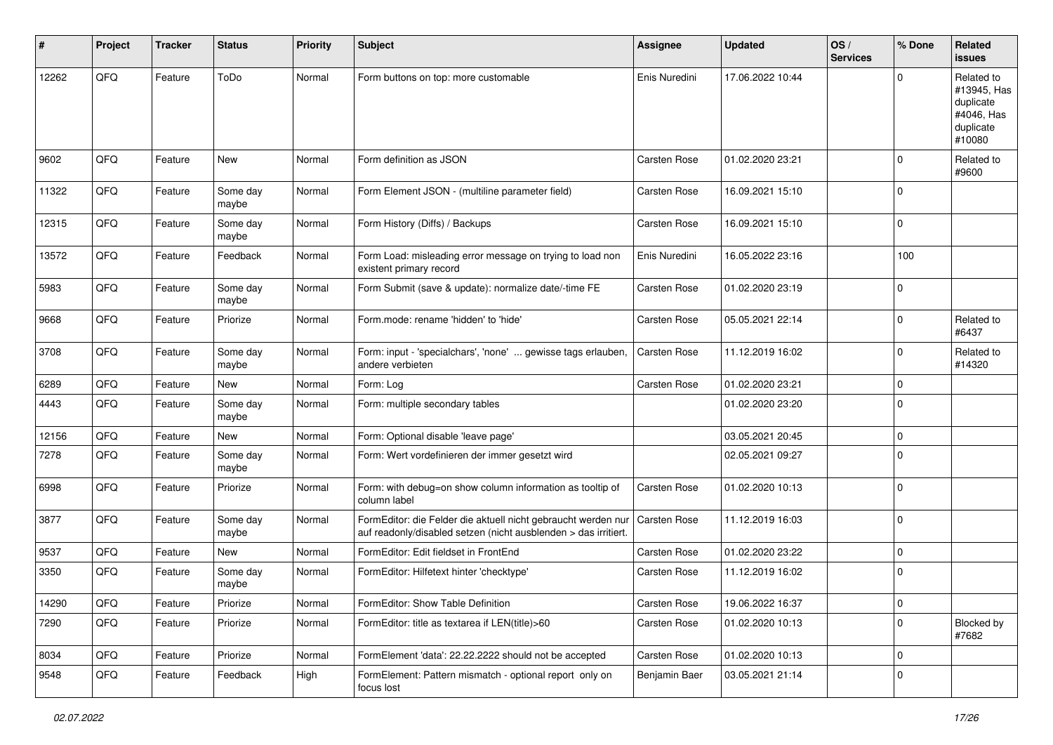| #     | Project | <b>Tracker</b> | <b>Status</b>     | <b>Priority</b> | <b>Subject</b>                                                                                                                   | <b>Assignee</b>     | <b>Updated</b>   | OS/<br><b>Services</b> | % Done         | Related<br><b>issues</b>                                                    |
|-------|---------|----------------|-------------------|-----------------|----------------------------------------------------------------------------------------------------------------------------------|---------------------|------------------|------------------------|----------------|-----------------------------------------------------------------------------|
| 12262 | QFQ     | Feature        | ToDo              | Normal          | Form buttons on top: more customable                                                                                             | Enis Nuredini       | 17.06.2022 10:44 |                        | $\Omega$       | Related to<br>#13945, Has<br>duplicate<br>#4046, Has<br>duplicate<br>#10080 |
| 9602  | QFQ     | Feature        | New               | Normal          | Form definition as JSON                                                                                                          | Carsten Rose        | 01.02.2020 23:21 |                        | $\Omega$       | Related to<br>#9600                                                         |
| 11322 | QFQ     | Feature        | Some day<br>maybe | Normal          | Form Element JSON - (multiline parameter field)                                                                                  | Carsten Rose        | 16.09.2021 15:10 |                        | $\Omega$       |                                                                             |
| 12315 | QFQ     | Feature        | Some day<br>maybe | Normal          | Form History (Diffs) / Backups                                                                                                   | Carsten Rose        | 16.09.2021 15:10 |                        | $\Omega$       |                                                                             |
| 13572 | QFQ     | Feature        | Feedback          | Normal          | Form Load: misleading error message on trying to load non<br>existent primary record                                             | Enis Nuredini       | 16.05.2022 23:16 |                        | 100            |                                                                             |
| 5983  | QFQ     | Feature        | Some day<br>maybe | Normal          | Form Submit (save & update): normalize date/-time FE                                                                             | Carsten Rose        | 01.02.2020 23:19 |                        | 0              |                                                                             |
| 9668  | QFQ     | Feature        | Priorize          | Normal          | Form.mode: rename 'hidden' to 'hide'                                                                                             | Carsten Rose        | 05.05.2021 22:14 |                        | $\mathbf 0$    | Related to<br>#6437                                                         |
| 3708  | QFQ     | Feature        | Some day<br>maybe | Normal          | Form: input - 'specialchars', 'none'  gewisse tags erlauben,<br>andere verbieten                                                 | Carsten Rose        | 11.12.2019 16:02 |                        | $\Omega$       | Related to<br>#14320                                                        |
| 6289  | QFQ     | Feature        | New               | Normal          | Form: Log                                                                                                                        | <b>Carsten Rose</b> | 01.02.2020 23:21 |                        | $\mathbf 0$    |                                                                             |
| 4443  | QFQ     | Feature        | Some day<br>maybe | Normal          | Form: multiple secondary tables                                                                                                  |                     | 01.02.2020 23:20 |                        | $\Omega$       |                                                                             |
| 12156 | QFQ     | Feature        | New               | Normal          | Form: Optional disable 'leave page'                                                                                              |                     | 03.05.2021 20:45 |                        | 0              |                                                                             |
| 7278  | QFQ     | Feature        | Some day<br>maybe | Normal          | Form: Wert vordefinieren der immer gesetzt wird                                                                                  |                     | 02.05.2021 09:27 |                        | $\mathbf 0$    |                                                                             |
| 6998  | QFQ     | Feature        | Priorize          | Normal          | Form: with debug=on show column information as tooltip of<br>column label                                                        | Carsten Rose        | 01.02.2020 10:13 |                        | $\Omega$       |                                                                             |
| 3877  | QFQ     | Feature        | Some day<br>maybe | Normal          | FormEditor: die Felder die aktuell nicht gebraucht werden nur<br>auf readonly/disabled setzen (nicht ausblenden > das irritiert. | Carsten Rose        | 11.12.2019 16:03 |                        | $\mathbf 0$    |                                                                             |
| 9537  | QFQ     | Feature        | New               | Normal          | FormEditor: Edit fieldset in FrontEnd                                                                                            | Carsten Rose        | 01.02.2020 23:22 |                        | $\mathbf 0$    |                                                                             |
| 3350  | QFQ     | Feature        | Some day<br>maybe | Normal          | FormEditor: Hilfetext hinter 'checktype'                                                                                         | Carsten Rose        | 11.12.2019 16:02 |                        | $\mathbf 0$    |                                                                             |
| 14290 | QFQ     | Feature        | Priorize          | Normal          | FormEditor: Show Table Definition                                                                                                | Carsten Rose        | 19.06.2022 16:37 |                        | $\overline{0}$ |                                                                             |
| 7290  | QFQ     | Feature        | Priorize          | Normal          | FormEditor: title as textarea if LEN(title)>60                                                                                   | Carsten Rose        | 01.02.2020 10:13 |                        | $\mathbf 0$    | Blocked by<br>#7682                                                         |
| 8034  | QFQ     | Feature        | Priorize          | Normal          | FormElement 'data': 22.22.2222 should not be accepted                                                                            | Carsten Rose        | 01.02.2020 10:13 |                        | $\mathbf 0$    |                                                                             |
| 9548  | QFQ     | Feature        | Feedback          | High            | FormElement: Pattern mismatch - optional report only on<br>focus lost                                                            | Benjamin Baer       | 03.05.2021 21:14 |                        | 0              |                                                                             |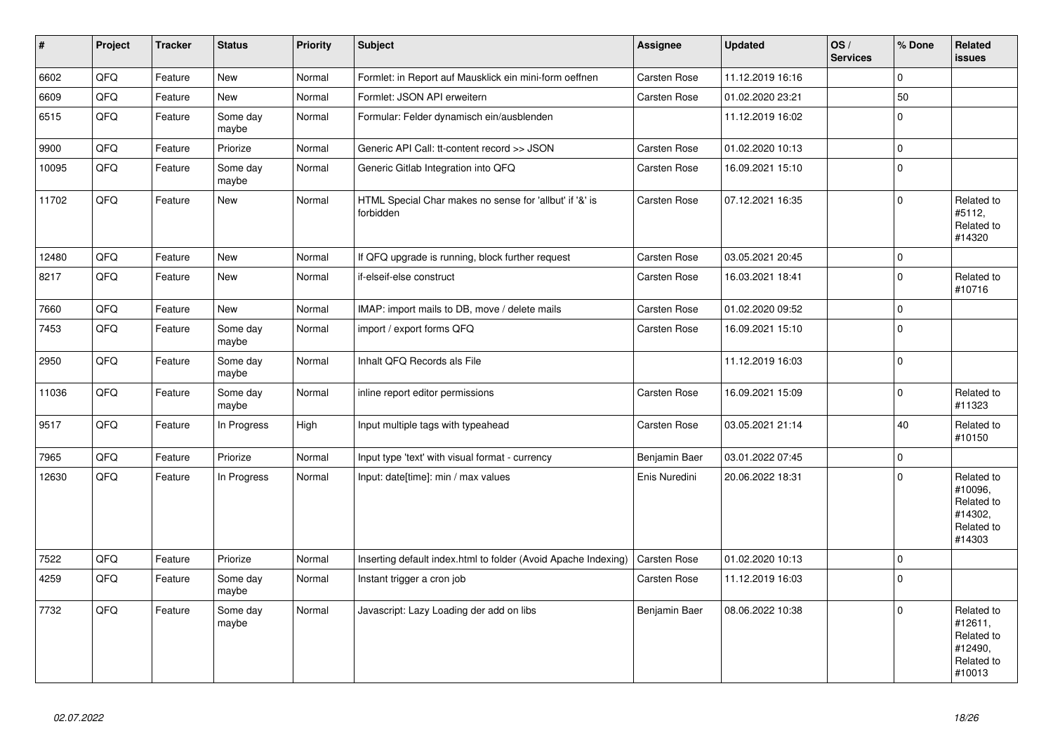| $\vert$ # | Project | <b>Tracker</b> | <b>Status</b>     | <b>Priority</b> | <b>Subject</b>                                                       | <b>Assignee</b>     | <b>Updated</b>   | OS/<br><b>Services</b> | % Done      | Related<br><b>issues</b>                                               |
|-----------|---------|----------------|-------------------|-----------------|----------------------------------------------------------------------|---------------------|------------------|------------------------|-------------|------------------------------------------------------------------------|
| 6602      | QFQ     | Feature        | <b>New</b>        | Normal          | Formlet: in Report auf Mausklick ein mini-form oeffnen               | Carsten Rose        | 11.12.2019 16:16 |                        | $\mathbf 0$ |                                                                        |
| 6609      | QFQ     | Feature        | New               | Normal          | Formlet: JSON API erweitern                                          | Carsten Rose        | 01.02.2020 23:21 |                        | 50          |                                                                        |
| 6515      | QFQ     | Feature        | Some day<br>maybe | Normal          | Formular: Felder dynamisch ein/ausblenden                            |                     | 11.12.2019 16:02 |                        | $\mathbf 0$ |                                                                        |
| 9900      | QFQ     | Feature        | Priorize          | Normal          | Generic API Call: tt-content record >> JSON                          | Carsten Rose        | 01.02.2020 10:13 |                        | $\mathbf 0$ |                                                                        |
| 10095     | QFQ     | Feature        | Some day<br>maybe | Normal          | Generic Gitlab Integration into QFQ                                  | Carsten Rose        | 16.09.2021 15:10 |                        | $\Omega$    |                                                                        |
| 11702     | QFQ     | Feature        | New               | Normal          | HTML Special Char makes no sense for 'allbut' if '&' is<br>forbidden | Carsten Rose        | 07.12.2021 16:35 |                        | $\Omega$    | Related to<br>#5112,<br>Related to<br>#14320                           |
| 12480     | QFQ     | Feature        | <b>New</b>        | Normal          | If QFQ upgrade is running, block further request                     | Carsten Rose        | 03.05.2021 20:45 |                        | $\pmb{0}$   |                                                                        |
| 8217      | QFQ     | Feature        | <b>New</b>        | Normal          | if-elseif-else construct                                             | Carsten Rose        | 16.03.2021 18:41 |                        | $\Omega$    | Related to<br>#10716                                                   |
| 7660      | QFQ     | Feature        | <b>New</b>        | Normal          | IMAP: import mails to DB, move / delete mails                        | Carsten Rose        | 01.02.2020 09:52 |                        | $\mathbf 0$ |                                                                        |
| 7453      | QFQ     | Feature        | Some day<br>maybe | Normal          | import / export forms QFQ                                            | Carsten Rose        | 16.09.2021 15:10 |                        | $\mathbf 0$ |                                                                        |
| 2950      | QFQ     | Feature        | Some day<br>maybe | Normal          | Inhalt QFQ Records als File                                          |                     | 11.12.2019 16:03 |                        | $\Omega$    |                                                                        |
| 11036     | QFQ     | Feature        | Some day<br>maybe | Normal          | inline report editor permissions                                     | Carsten Rose        | 16.09.2021 15:09 |                        | $\mathbf 0$ | Related to<br>#11323                                                   |
| 9517      | QFQ     | Feature        | In Progress       | High            | Input multiple tags with typeahead                                   | Carsten Rose        | 03.05.2021 21:14 |                        | 40          | Related to<br>#10150                                                   |
| 7965      | QFQ     | Feature        | Priorize          | Normal          | Input type 'text' with visual format - currency                      | Benjamin Baer       | 03.01.2022 07:45 |                        | $\mathbf 0$ |                                                                        |
| 12630     | QFQ     | Feature        | In Progress       | Normal          | Input: date[time]: min / max values                                  | Enis Nuredini       | 20.06.2022 18:31 |                        | $\Omega$    | Related to<br>#10096,<br>Related to<br>#14302,<br>Related to<br>#14303 |
| 7522      | QFQ     | Feature        | Priorize          | Normal          | Inserting default index.html to folder (Avoid Apache Indexing)       | <b>Carsten Rose</b> | 01.02.2020 10:13 |                        | $\mathbf 0$ |                                                                        |
| 4259      | QFQ     | Feature        | Some day<br>maybe | Normal          | Instant trigger a cron job                                           | Carsten Rose        | 11.12.2019 16:03 |                        | $\Omega$    |                                                                        |
| 7732      | QFQ     | Feature        | Some day<br>maybe | Normal          | Javascript: Lazy Loading der add on libs                             | Benjamin Baer       | 08.06.2022 10:38 |                        | $\Omega$    | Related to<br>#12611,<br>Related to<br>#12490,<br>Related to<br>#10013 |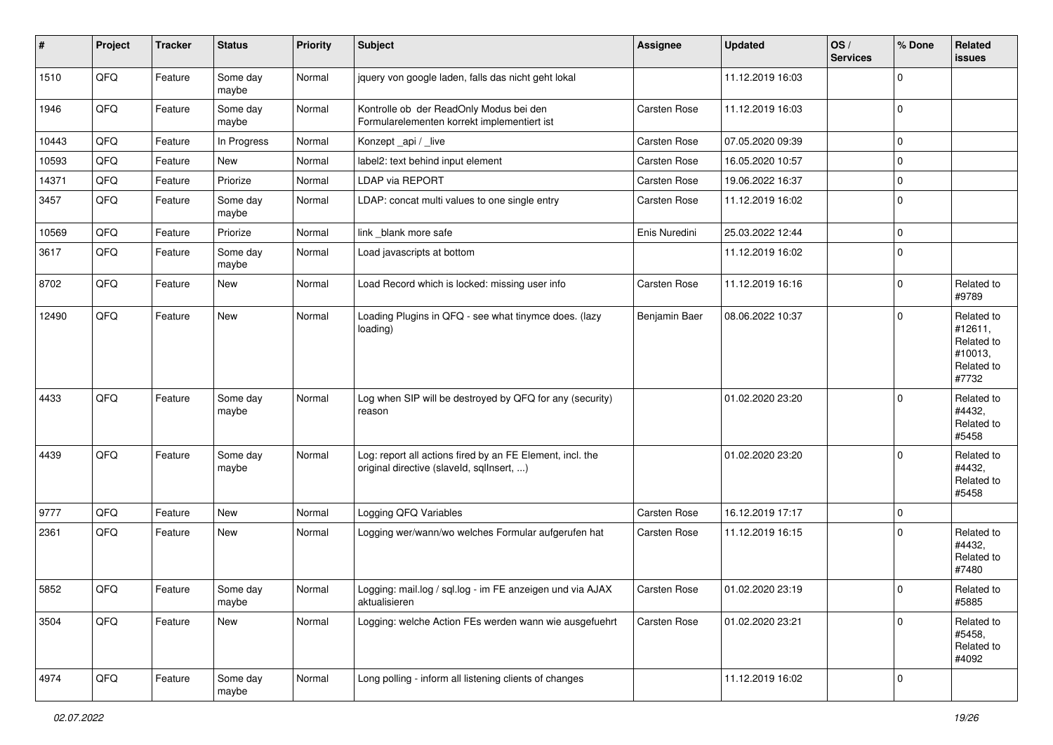| $\vert$ # | Project | <b>Tracker</b> | <b>Status</b>     | <b>Priority</b> | <b>Subject</b>                                                                                         | <b>Assignee</b>     | <b>Updated</b>   | OS/<br><b>Services</b> | % Done         | Related<br>issues                                                     |
|-----------|---------|----------------|-------------------|-----------------|--------------------------------------------------------------------------------------------------------|---------------------|------------------|------------------------|----------------|-----------------------------------------------------------------------|
| 1510      | QFQ     | Feature        | Some day<br>maybe | Normal          | jquery von google laden, falls das nicht geht lokal                                                    |                     | 11.12.2019 16:03 |                        | $\Omega$       |                                                                       |
| 1946      | QFQ     | Feature        | Some day<br>maybe | Normal          | Kontrolle ob der ReadOnly Modus bei den<br>Formularelementen korrekt implementiert ist                 | Carsten Rose        | 11.12.2019 16:03 |                        | $\mathbf 0$    |                                                                       |
| 10443     | QFQ     | Feature        | In Progress       | Normal          | Konzept_api / _live                                                                                    | Carsten Rose        | 07.05.2020 09:39 |                        | $\mathbf 0$    |                                                                       |
| 10593     | QFQ     | Feature        | New               | Normal          | label2: text behind input element                                                                      | Carsten Rose        | 16.05.2020 10:57 |                        | 0              |                                                                       |
| 14371     | QFQ     | Feature        | Priorize          | Normal          | LDAP via REPORT                                                                                        | Carsten Rose        | 19.06.2022 16:37 |                        | $\mathbf 0$    |                                                                       |
| 3457      | QFQ     | Feature        | Some day<br>maybe | Normal          | LDAP: concat multi values to one single entry                                                          | Carsten Rose        | 11.12.2019 16:02 |                        | $\Omega$       |                                                                       |
| 10569     | QFQ     | Feature        | Priorize          | Normal          | link _blank more safe                                                                                  | Enis Nuredini       | 25.03.2022 12:44 |                        | 0              |                                                                       |
| 3617      | QFQ     | Feature        | Some day<br>maybe | Normal          | Load javascripts at bottom                                                                             |                     | 11.12.2019 16:02 |                        | $\mathbf 0$    |                                                                       |
| 8702      | QFQ     | Feature        | New               | Normal          | Load Record which is locked: missing user info                                                         | Carsten Rose        | 11.12.2019 16:16 |                        | $\mathbf 0$    | Related to<br>#9789                                                   |
| 12490     | QFQ     | Feature        | <b>New</b>        | Normal          | Loading Plugins in QFQ - see what tinymce does. (lazy<br>loading)                                      | Benjamin Baer       | 08.06.2022 10:37 |                        | $\Omega$       | Related to<br>#12611,<br>Related to<br>#10013,<br>Related to<br>#7732 |
| 4433      | QFQ     | Feature        | Some day<br>maybe | Normal          | Log when SIP will be destroyed by QFQ for any (security)<br>reason                                     |                     | 01.02.2020 23:20 |                        | $\Omega$       | Related to<br>#4432,<br>Related to<br>#5458                           |
| 4439      | QFQ     | Feature        | Some day<br>maybe | Normal          | Log: report all actions fired by an FE Element, incl. the<br>original directive (slaveld, sqllnsert, ) |                     | 01.02.2020 23:20 |                        | $\Omega$       | Related to<br>#4432,<br>Related to<br>#5458                           |
| 9777      | QFQ     | Feature        | <b>New</b>        | Normal          | Logging QFQ Variables                                                                                  | Carsten Rose        | 16.12.2019 17:17 |                        | $\mathbf 0$    |                                                                       |
| 2361      | QFQ     | Feature        | New               | Normal          | Logging wer/wann/wo welches Formular aufgerufen hat                                                    | Carsten Rose        | 11.12.2019 16:15 |                        | $\Omega$       | Related to<br>#4432,<br>Related to<br>#7480                           |
| 5852      | QFQ     | Feature        | Some day<br>maybe | Normal          | Logging: mail.log / sql.log - im FE anzeigen und via AJAX<br>aktualisieren                             | <b>Carsten Rose</b> | 01.02.2020 23:19 |                        | 0              | Related to<br>#5885                                                   |
| 3504      | QFQ     | Feature        | New               | Normal          | Logging: welche Action FEs werden wann wie ausgefuehrt                                                 | Carsten Rose        | 01.02.2020 23:21 |                        | $\Omega$       | Related to<br>#5458,<br>Related to<br>#4092                           |
| 4974      | QFQ     | Feature        | Some day<br>maybe | Normal          | Long polling - inform all listening clients of changes                                                 |                     | 11.12.2019 16:02 |                        | $\overline{0}$ |                                                                       |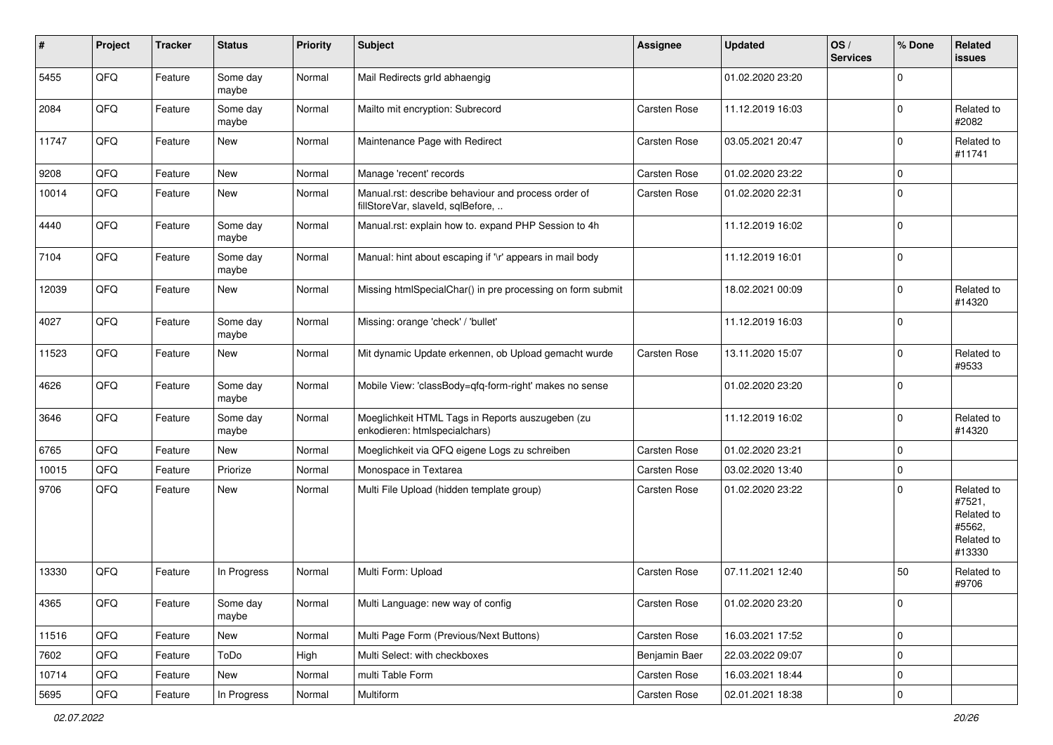| #     | Project | <b>Tracker</b> | <b>Status</b>     | <b>Priority</b> | <b>Subject</b>                                                                           | <b>Assignee</b> | <b>Updated</b>   | OS/<br><b>Services</b> | % Done         | Related<br><b>issues</b>                                             |
|-------|---------|----------------|-------------------|-----------------|------------------------------------------------------------------------------------------|-----------------|------------------|------------------------|----------------|----------------------------------------------------------------------|
| 5455  | QFQ     | Feature        | Some day<br>maybe | Normal          | Mail Redirects grld abhaengig                                                            |                 | 01.02.2020 23:20 |                        | $\mathbf 0$    |                                                                      |
| 2084  | QFQ     | Feature        | Some day<br>maybe | Normal          | Mailto mit encryption: Subrecord                                                         | Carsten Rose    | 11.12.2019 16:03 |                        | $\mathbf 0$    | Related to<br>#2082                                                  |
| 11747 | QFQ     | Feature        | New               | Normal          | Maintenance Page with Redirect                                                           | Carsten Rose    | 03.05.2021 20:47 |                        | $\Omega$       | Related to<br>#11741                                                 |
| 9208  | QFQ     | Feature        | <b>New</b>        | Normal          | Manage 'recent' records                                                                  | Carsten Rose    | 01.02.2020 23:22 |                        | $\mathbf 0$    |                                                                      |
| 10014 | QFQ     | Feature        | New               | Normal          | Manual.rst: describe behaviour and process order of<br>fillStoreVar, slaveId, sqlBefore, | Carsten Rose    | 01.02.2020 22:31 |                        | $\Omega$       |                                                                      |
| 4440  | QFQ     | Feature        | Some day<br>maybe | Normal          | Manual.rst: explain how to. expand PHP Session to 4h                                     |                 | 11.12.2019 16:02 |                        | $\mathbf 0$    |                                                                      |
| 7104  | QFQ     | Feature        | Some day<br>maybe | Normal          | Manual: hint about escaping if '\r' appears in mail body                                 |                 | 11.12.2019 16:01 |                        | 0              |                                                                      |
| 12039 | QFQ     | Feature        | New               | Normal          | Missing htmlSpecialChar() in pre processing on form submit                               |                 | 18.02.2021 00:09 |                        | $\mathbf 0$    | Related to<br>#14320                                                 |
| 4027  | QFQ     | Feature        | Some day<br>maybe | Normal          | Missing: orange 'check' / 'bullet'                                                       |                 | 11.12.2019 16:03 |                        | $\Omega$       |                                                                      |
| 11523 | QFQ     | Feature        | <b>New</b>        | Normal          | Mit dynamic Update erkennen, ob Upload gemacht wurde                                     | Carsten Rose    | 13.11.2020 15:07 |                        | $\Omega$       | Related to<br>#9533                                                  |
| 4626  | QFQ     | Feature        | Some day<br>maybe | Normal          | Mobile View: 'classBody=qfq-form-right' makes no sense                                   |                 | 01.02.2020 23:20 |                        | $\mathbf 0$    |                                                                      |
| 3646  | QFQ     | Feature        | Some day<br>maybe | Normal          | Moeglichkeit HTML Tags in Reports auszugeben (zu<br>enkodieren: htmlspecialchars)        |                 | 11.12.2019 16:02 |                        | $\mathbf 0$    | Related to<br>#14320                                                 |
| 6765  | QFQ     | Feature        | New               | Normal          | Moeglichkeit via QFQ eigene Logs zu schreiben                                            | Carsten Rose    | 01.02.2020 23:21 |                        | $\mathbf 0$    |                                                                      |
| 10015 | QFQ     | Feature        | Priorize          | Normal          | Monospace in Textarea                                                                    | Carsten Rose    | 03.02.2020 13:40 |                        | $\mathbf 0$    |                                                                      |
| 9706  | QFQ     | Feature        | <b>New</b>        | Normal          | Multi File Upload (hidden template group)                                                | Carsten Rose    | 01.02.2020 23:22 |                        | $\Omega$       | Related to<br>#7521,<br>Related to<br>#5562,<br>Related to<br>#13330 |
| 13330 | QFQ     | Feature        | In Progress       | Normal          | Multi Form: Upload                                                                       | Carsten Rose    | 07.11.2021 12:40 |                        | 50             | Related to<br>#9706                                                  |
| 4365  | QFQ     | Feature        | Some day<br>maybe | Normal          | Multi Language: new way of config                                                        | Carsten Rose    | 01.02.2020 23:20 |                        | 0              |                                                                      |
| 11516 | QFQ     | Feature        | New               | Normal          | Multi Page Form (Previous/Next Buttons)                                                  | Carsten Rose    | 16.03.2021 17:52 |                        | $\mathbf 0$    |                                                                      |
| 7602  | QFQ     | Feature        | ToDo              | High            | Multi Select: with checkboxes                                                            | Benjamin Baer   | 22.03.2022 09:07 |                        | $\mathbf 0$    |                                                                      |
| 10714 | QFQ     | Feature        | New               | Normal          | multi Table Form                                                                         | Carsten Rose    | 16.03.2021 18:44 |                        | 0              |                                                                      |
| 5695  | QFG     | Feature        | In Progress       | Normal          | Multiform                                                                                | Carsten Rose    | 02.01.2021 18:38 |                        | $\overline{0}$ |                                                                      |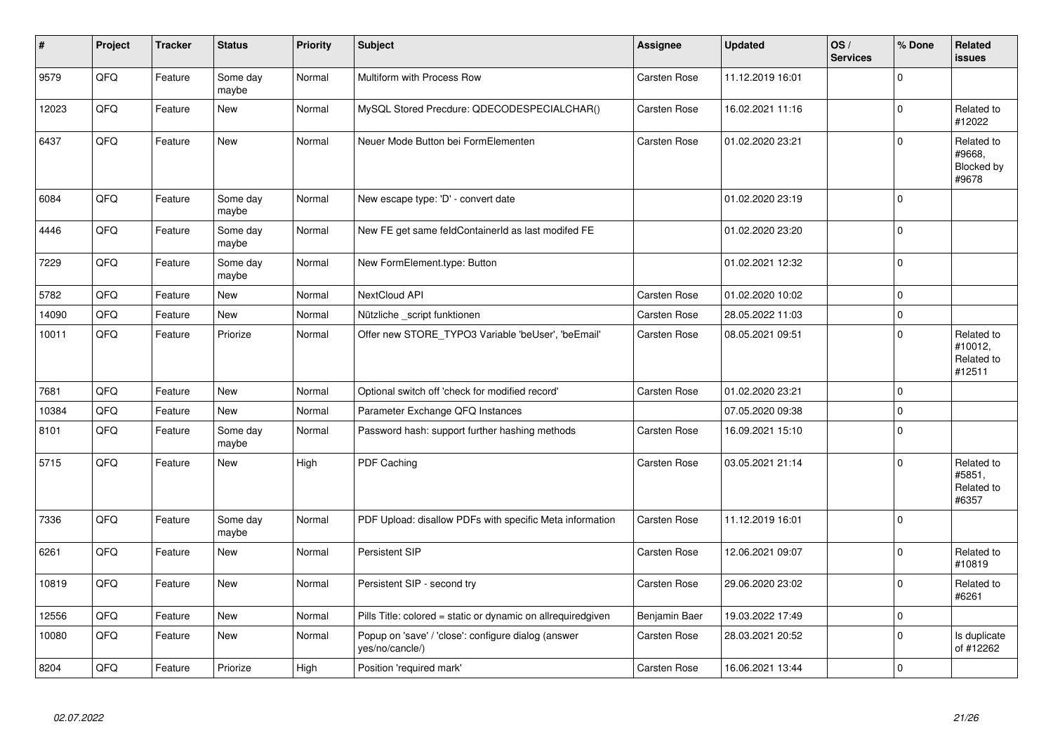| $\vert$ # | Project | <b>Tracker</b> | <b>Status</b>     | <b>Priority</b> | <b>Subject</b>                                                         | Assignee            | <b>Updated</b>   | OS/<br><b>Services</b> | % Done              | Related<br><b>issues</b>                      |
|-----------|---------|----------------|-------------------|-----------------|------------------------------------------------------------------------|---------------------|------------------|------------------------|---------------------|-----------------------------------------------|
| 9579      | QFQ     | Feature        | Some day<br>maybe | Normal          | Multiform with Process Row                                             | Carsten Rose        | 11.12.2019 16:01 |                        | $\mathbf 0$         |                                               |
| 12023     | QFQ     | Feature        | <b>New</b>        | Normal          | MySQL Stored Precdure: QDECODESPECIALCHAR()                            | Carsten Rose        | 16.02.2021 11:16 |                        | $\mathbf 0$         | Related to<br>#12022                          |
| 6437      | QFQ     | Feature        | <b>New</b>        | Normal          | Neuer Mode Button bei FormElementen                                    | Carsten Rose        | 01.02.2020 23:21 |                        | $\mathbf 0$         | Related to<br>#9668.<br>Blocked by<br>#9678   |
| 6084      | QFQ     | Feature        | Some day<br>maybe | Normal          | New escape type: 'D' - convert date                                    |                     | 01.02.2020 23:19 |                        | $\mathsf 0$         |                                               |
| 4446      | QFQ     | Feature        | Some day<br>maybe | Normal          | New FE get same feldContainerId as last modifed FE                     |                     | 01.02.2020 23:20 |                        | $\pmb{0}$           |                                               |
| 7229      | QFQ     | Feature        | Some day<br>maybe | Normal          | New FormElement.type: Button                                           |                     | 01.02.2021 12:32 |                        | $\mathbf 0$         |                                               |
| 5782      | QFQ     | Feature        | <b>New</b>        | Normal          | NextCloud API                                                          | Carsten Rose        | 01.02.2020 10:02 |                        | $\mathbf 0$         |                                               |
| 14090     | QFQ     | Feature        | New               | Normal          | Nützliche script funktionen                                            | Carsten Rose        | 28.05.2022 11:03 |                        | $\mathbf 0$         |                                               |
| 10011     | QFQ     | Feature        | Priorize          | Normal          | Offer new STORE_TYPO3 Variable 'beUser', 'beEmail'                     | Carsten Rose        | 08.05.2021 09:51 |                        | $\pmb{0}$           | Related to<br>#10012,<br>Related to<br>#12511 |
| 7681      | QFQ     | Feature        | <b>New</b>        | Normal          | Optional switch off 'check for modified record'                        | <b>Carsten Rose</b> | 01.02.2020 23:21 |                        | $\mathsf 0$         |                                               |
| 10384     | QFQ     | Feature        | <b>New</b>        | Normal          | Parameter Exchange QFQ Instances                                       |                     | 07.05.2020 09:38 |                        | $\mathbf 0$         |                                               |
| 8101      | QFQ     | Feature        | Some day<br>maybe | Normal          | Password hash: support further hashing methods                         | Carsten Rose        | 16.09.2021 15:10 |                        | $\pmb{0}$           |                                               |
| 5715      | QFQ     | Feature        | <b>New</b>        | High            | PDF Caching                                                            | Carsten Rose        | 03.05.2021 21:14 |                        | $\mathbf 0$         | Related to<br>#5851,<br>Related to<br>#6357   |
| 7336      | QFQ     | Feature        | Some day<br>maybe | Normal          | PDF Upload: disallow PDFs with specific Meta information               | Carsten Rose        | 11.12.2019 16:01 |                        | $\mathsf{O}\xspace$ |                                               |
| 6261      | QFQ     | Feature        | <b>New</b>        | Normal          | <b>Persistent SIP</b>                                                  | Carsten Rose        | 12.06.2021 09:07 |                        | $\Omega$            | Related to<br>#10819                          |
| 10819     | QFQ     | Feature        | <b>New</b>        | Normal          | Persistent SIP - second try                                            | Carsten Rose        | 29.06.2020 23:02 |                        | $\mathbf 0$         | Related to<br>#6261                           |
| 12556     | QFQ     | Feature        | <b>New</b>        | Normal          | Pills Title: colored = static or dynamic on allrequiredgiven           | Benjamin Baer       | 19.03.2022 17:49 |                        | $\pmb{0}$           |                                               |
| 10080     | QFQ     | Feature        | <b>New</b>        | Normal          | Popup on 'save' / 'close': configure dialog (answer<br>yes/no/cancle/) | Carsten Rose        | 28.03.2021 20:52 |                        | $\mathbf 0$         | Is duplicate<br>of #12262                     |
| 8204      | QFQ     | Feature        | Priorize          | High            | Position 'required mark'                                               | Carsten Rose        | 16.06.2021 13:44 |                        | $\mathsf{O}\xspace$ |                                               |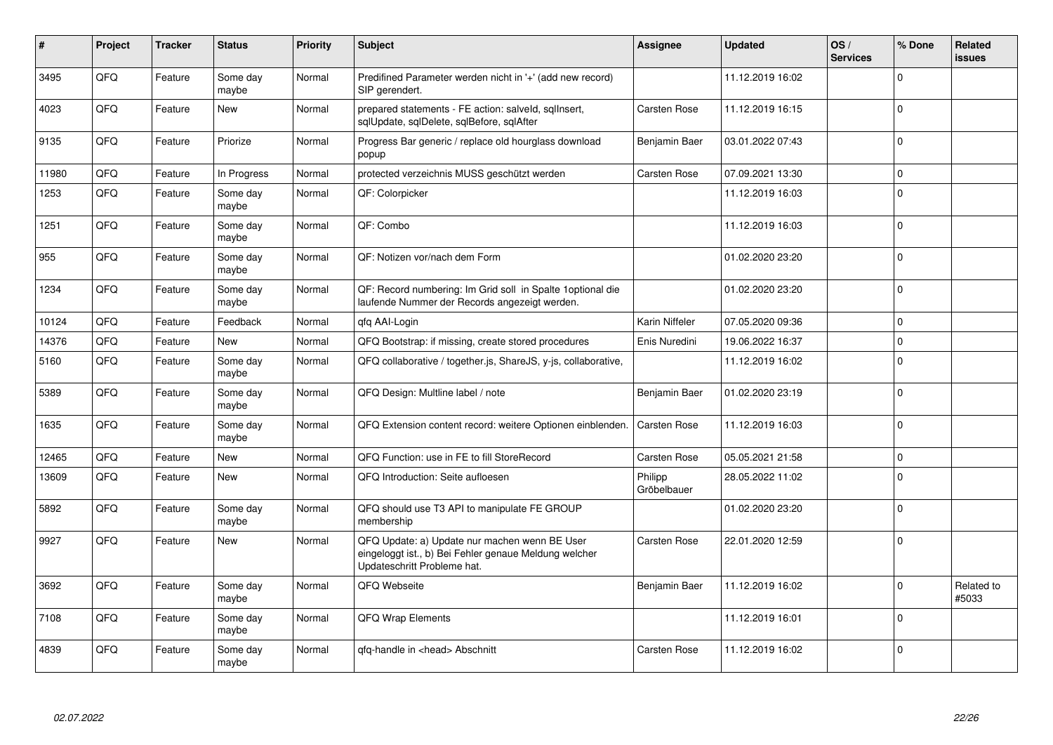| #     | Project    | <b>Tracker</b> | <b>Status</b>     | <b>Priority</b> | <b>Subject</b>                                                                                                                        | Assignee               | <b>Updated</b>   | OS/<br><b>Services</b> | % Done      | Related<br><b>issues</b> |
|-------|------------|----------------|-------------------|-----------------|---------------------------------------------------------------------------------------------------------------------------------------|------------------------|------------------|------------------------|-------------|--------------------------|
| 3495  | QFQ        | Feature        | Some day<br>maybe | Normal          | Predifined Parameter werden nicht in '+' (add new record)<br>SIP gerendert.                                                           |                        | 11.12.2019 16:02 |                        | $\Omega$    |                          |
| 4023  | QFQ        | Feature        | <b>New</b>        | Normal          | prepared statements - FE action: salveld, sgllnsert,<br>sqlUpdate, sqlDelete, sqlBefore, sqlAfter                                     | Carsten Rose           | 11.12.2019 16:15 |                        | $\Omega$    |                          |
| 9135  | QFQ        | Feature        | Priorize          | Normal          | Progress Bar generic / replace old hourglass download<br>popup                                                                        | Benjamin Baer          | 03.01.2022 07:43 |                        | $\Omega$    |                          |
| 11980 | QFQ        | Feature        | In Progress       | Normal          | protected verzeichnis MUSS geschützt werden                                                                                           | Carsten Rose           | 07.09.2021 13:30 |                        | $\mathbf 0$ |                          |
| 1253  | QFQ        | Feature        | Some day<br>maybe | Normal          | QF: Colorpicker                                                                                                                       |                        | 11.12.2019 16:03 |                        | $\Omega$    |                          |
| 1251  | QFQ        | Feature        | Some day<br>maybe | Normal          | QF: Combo                                                                                                                             |                        | 11.12.2019 16:03 |                        | $\Omega$    |                          |
| 955   | <b>OFO</b> | Feature        | Some day<br>maybe | Normal          | QF: Notizen vor/nach dem Form                                                                                                         |                        | 01.02.2020 23:20 |                        | $\Omega$    |                          |
| 1234  | QFQ        | Feature        | Some day<br>maybe | Normal          | QF: Record numbering: Im Grid soll in Spalte 1 optional die<br>laufende Nummer der Records angezeigt werden.                          |                        | 01.02.2020 23:20 |                        | $\Omega$    |                          |
| 10124 | QFQ        | Feature        | Feedback          | Normal          | gfg AAI-Login                                                                                                                         | Karin Niffeler         | 07.05.2020 09:36 |                        | $\Omega$    |                          |
| 14376 | QFQ        | Feature        | <b>New</b>        | Normal          | QFQ Bootstrap: if missing, create stored procedures                                                                                   | Enis Nuredini          | 19.06.2022 16:37 |                        | $\Omega$    |                          |
| 5160  | QFQ        | Feature        | Some day<br>maybe | Normal          | QFQ collaborative / together.js, ShareJS, y-js, collaborative,                                                                        |                        | 11.12.2019 16:02 |                        | $\Omega$    |                          |
| 5389  | QFQ        | Feature        | Some day<br>maybe | Normal          | QFQ Design: Multline label / note                                                                                                     | Benjamin Baer          | 01.02.2020 23:19 |                        | $\Omega$    |                          |
| 1635  | QFQ        | Feature        | Some day<br>maybe | Normal          | QFQ Extension content record: weitere Optionen einblenden.                                                                            | <b>Carsten Rose</b>    | 11.12.2019 16:03 |                        | $\Omega$    |                          |
| 12465 | QFQ        | Feature        | <b>New</b>        | Normal          | QFQ Function: use in FE to fill StoreRecord                                                                                           | Carsten Rose           | 05.05.2021 21:58 |                        | $\Omega$    |                          |
| 13609 | QFQ        | Feature        | New               | Normal          | QFQ Introduction: Seite aufloesen                                                                                                     | Philipp<br>Gröbelbauer | 28.05.2022 11:02 |                        | $\Omega$    |                          |
| 5892  | QFQ        | Feature        | Some day<br>maybe | Normal          | QFQ should use T3 API to manipulate FE GROUP<br>membership                                                                            |                        | 01.02.2020 23:20 |                        | $\mathbf 0$ |                          |
| 9927  | QFQ        | Feature        | New               | Normal          | QFQ Update: a) Update nur machen wenn BE User<br>eingeloggt ist., b) Bei Fehler genaue Meldung welcher<br>Updateschritt Probleme hat. | Carsten Rose           | 22.01.2020 12:59 |                        | $\Omega$    |                          |
| 3692  | QFQ        | Feature        | Some day<br>maybe | Normal          | QFQ Webseite                                                                                                                          | Benjamin Baer          | 11.12.2019 16:02 |                        | 0           | Related to<br>#5033      |
| 7108  | QFQ        | Feature        | Some day<br>maybe | Normal          | <b>QFQ Wrap Elements</b>                                                                                                              |                        | 11.12.2019 16:01 |                        | $\Omega$    |                          |
| 4839  | QFQ        | Feature        | Some day<br>maybe | Normal          | gfg-handle in <head> Abschnitt</head>                                                                                                 | Carsten Rose           | 11.12.2019 16:02 |                        | $\Omega$    |                          |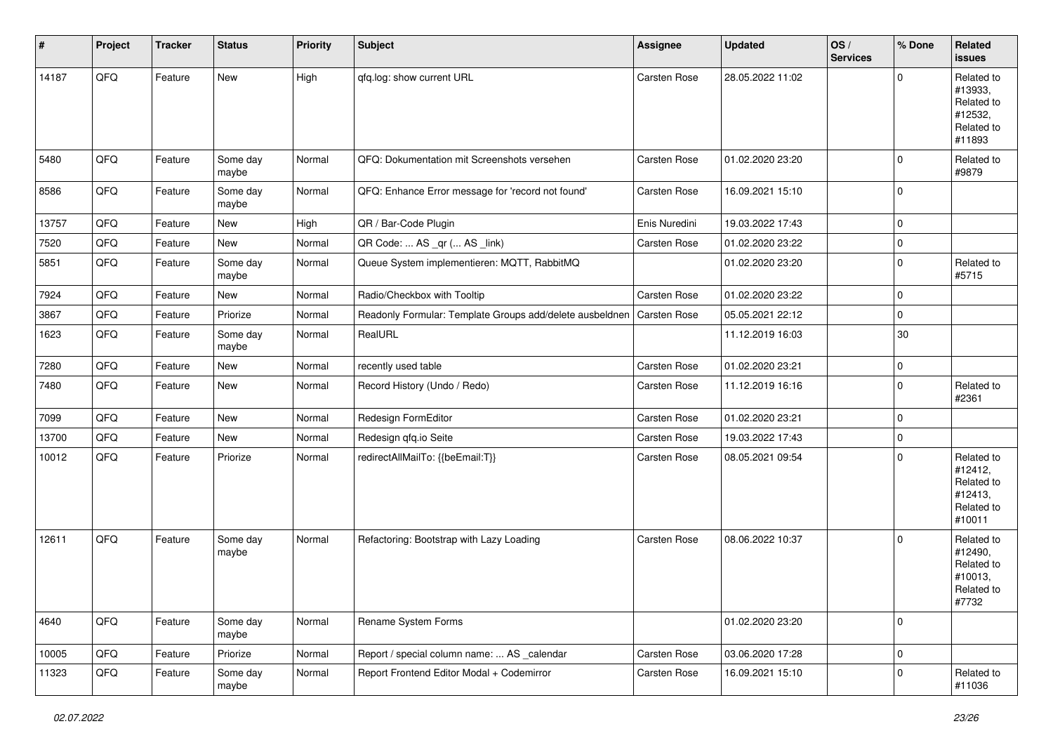| $\vert$ # | Project | <b>Tracker</b> | <b>Status</b>     | <b>Priority</b> | <b>Subject</b>                                           | <b>Assignee</b> | <b>Updated</b>   | OS/<br><b>Services</b> | % Done      | Related<br>issues                                                      |
|-----------|---------|----------------|-------------------|-----------------|----------------------------------------------------------|-----------------|------------------|------------------------|-------------|------------------------------------------------------------------------|
| 14187     | QFQ     | Feature        | New               | High            | qfq.log: show current URL                                | Carsten Rose    | 28.05.2022 11:02 |                        | $\Omega$    | Related to<br>#13933,<br>Related to<br>#12532,<br>Related to<br>#11893 |
| 5480      | QFQ     | Feature        | Some day<br>maybe | Normal          | QFQ: Dokumentation mit Screenshots versehen              | Carsten Rose    | 01.02.2020 23:20 |                        | $\mathbf 0$ | Related to<br>#9879                                                    |
| 8586      | QFQ     | Feature        | Some day<br>maybe | Normal          | QFQ: Enhance Error message for 'record not found'        | Carsten Rose    | 16.09.2021 15:10 |                        | $\mathbf 0$ |                                                                        |
| 13757     | QFQ     | Feature        | New               | High            | QR / Bar-Code Plugin                                     | Enis Nuredini   | 19.03.2022 17:43 |                        | $\mathbf 0$ |                                                                        |
| 7520      | QFQ     | Feature        | New               | Normal          | QR Code:  AS _qr ( AS _link)                             | Carsten Rose    | 01.02.2020 23:22 |                        | $\mathbf 0$ |                                                                        |
| 5851      | QFQ     | Feature        | Some day<br>maybe | Normal          | Queue System implementieren: MQTT, RabbitMQ              |                 | 01.02.2020 23:20 |                        | $\mathbf 0$ | Related to<br>#5715                                                    |
| 7924      | QFQ     | Feature        | New               | Normal          | Radio/Checkbox with Tooltip                              | Carsten Rose    | 01.02.2020 23:22 |                        | $\mathbf 0$ |                                                                        |
| 3867      | QFQ     | Feature        | Priorize          | Normal          | Readonly Formular: Template Groups add/delete ausbeldnen | Carsten Rose    | 05.05.2021 22:12 |                        | $\mathbf 0$ |                                                                        |
| 1623      | QFQ     | Feature        | Some day<br>maybe | Normal          | RealURL                                                  |                 | 11.12.2019 16:03 |                        | 30          |                                                                        |
| 7280      | QFQ     | Feature        | New               | Normal          | recently used table                                      | Carsten Rose    | 01.02.2020 23:21 |                        | $\mathbf 0$ |                                                                        |
| 7480      | QFQ     | Feature        | New               | Normal          | Record History (Undo / Redo)                             | Carsten Rose    | 11.12.2019 16:16 |                        | $\mathbf 0$ | Related to<br>#2361                                                    |
| 7099      | QFQ     | Feature        | New               | Normal          | Redesign FormEditor                                      | Carsten Rose    | 01.02.2020 23:21 |                        | $\Omega$    |                                                                        |
| 13700     | QFQ     | Feature        | New               | Normal          | Redesign qfq.io Seite                                    | Carsten Rose    | 19.03.2022 17:43 |                        | $\mathbf 0$ |                                                                        |
| 10012     | QFQ     | Feature        | Priorize          | Normal          | redirectAllMailTo: {{beEmail:T}}                         | Carsten Rose    | 08.05.2021 09:54 |                        | $\mathbf 0$ | Related to<br>#12412,<br>Related to<br>#12413,<br>Related to<br>#10011 |
| 12611     | QFQ     | Feature        | Some day<br>maybe | Normal          | Refactoring: Bootstrap with Lazy Loading                 | Carsten Rose    | 08.06.2022 10:37 |                        | $\Omega$    | Related to<br>#12490,<br>Related to<br>#10013,<br>Related to<br>#7732  |
| 4640      | QFQ     | Feature        | Some day<br>maybe | Normal          | Rename System Forms                                      |                 | 01.02.2020 23:20 |                        | $\mathbf 0$ |                                                                        |
| 10005     | QFQ     | Feature        | Priorize          | Normal          | Report / special column name:  AS _calendar              | Carsten Rose    | 03.06.2020 17:28 |                        | $\mathbf 0$ |                                                                        |
| 11323     | QFQ     | Feature        | Some day<br>maybe | Normal          | Report Frontend Editor Modal + Codemirror                | Carsten Rose    | 16.09.2021 15:10 |                        | $\Omega$    | Related to<br>#11036                                                   |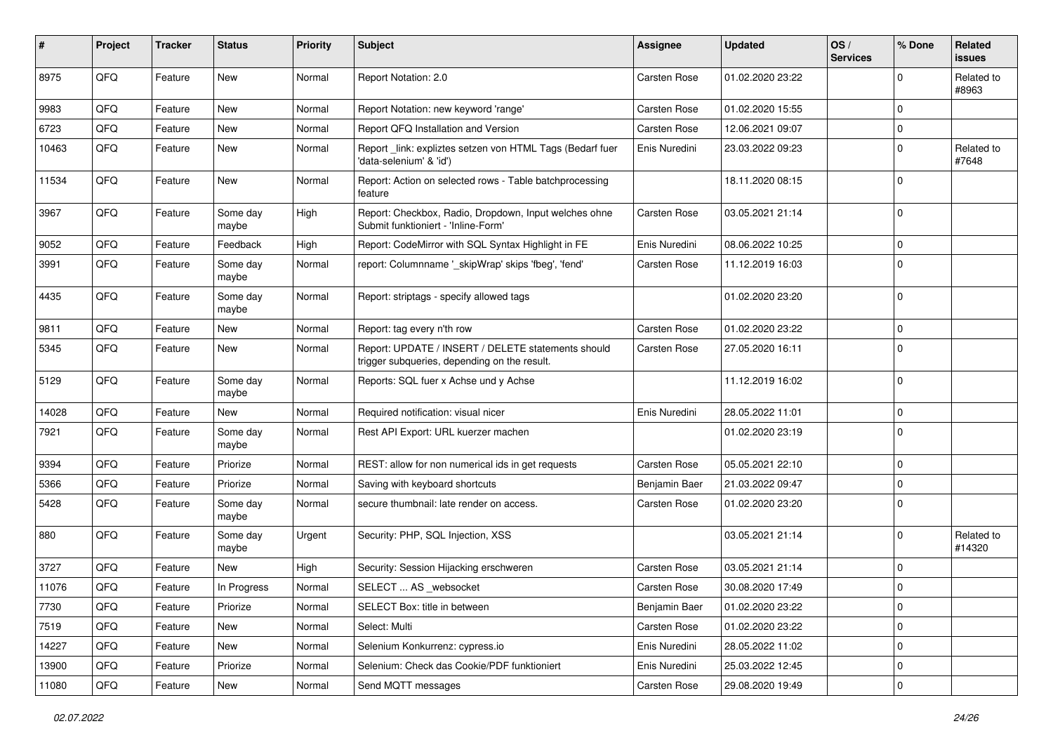| #     | Project | <b>Tracker</b> | <b>Status</b>     | <b>Priority</b> | <b>Subject</b>                                                                                     | <b>Assignee</b>     | <b>Updated</b>   | OS/<br><b>Services</b> | % Done         | Related<br><b>issues</b> |
|-------|---------|----------------|-------------------|-----------------|----------------------------------------------------------------------------------------------------|---------------------|------------------|------------------------|----------------|--------------------------|
| 8975  | QFQ     | Feature        | New               | Normal          | Report Notation: 2.0                                                                               | Carsten Rose        | 01.02.2020 23:22 |                        | $\mathbf 0$    | Related to<br>#8963      |
| 9983  | QFQ     | Feature        | <b>New</b>        | Normal          | Report Notation: new keyword 'range'                                                               | Carsten Rose        | 01.02.2020 15:55 |                        | $\mathbf 0$    |                          |
| 6723  | QFQ     | Feature        | <b>New</b>        | Normal          | Report QFQ Installation and Version                                                                | Carsten Rose        | 12.06.2021 09:07 |                        | $\mathbf 0$    |                          |
| 10463 | QFQ     | Feature        | New               | Normal          | Report link: expliztes setzen von HTML Tags (Bedarf fuer<br>'data-selenium' & 'id')                | Enis Nuredini       | 23.03.2022 09:23 |                        | $\Omega$       | Related to<br>#7648      |
| 11534 | QFQ     | Feature        | New               | Normal          | Report: Action on selected rows - Table batchprocessing<br>feature                                 |                     | 18.11.2020 08:15 |                        | $\mathbf 0$    |                          |
| 3967  | QFQ     | Feature        | Some day<br>maybe | High            | Report: Checkbox, Radio, Dropdown, Input welches ohne<br>Submit funktioniert - 'Inline-Form'       | Carsten Rose        | 03.05.2021 21:14 |                        | $\mathbf 0$    |                          |
| 9052  | QFQ     | Feature        | Feedback          | High            | Report: CodeMirror with SQL Syntax Highlight in FE                                                 | Enis Nuredini       | 08.06.2022 10:25 |                        | $\mathbf 0$    |                          |
| 3991  | QFQ     | Feature        | Some day<br>maybe | Normal          | report: Columnname '_skipWrap' skips 'fbeg', 'fend'                                                | Carsten Rose        | 11.12.2019 16:03 |                        | $\mathbf 0$    |                          |
| 4435  | QFQ     | Feature        | Some day<br>maybe | Normal          | Report: striptags - specify allowed tags                                                           |                     | 01.02.2020 23:20 |                        | 0              |                          |
| 9811  | QFQ     | Feature        | New               | Normal          | Report: tag every n'th row                                                                         | Carsten Rose        | 01.02.2020 23:22 |                        | $\Omega$       |                          |
| 5345  | QFQ     | Feature        | <b>New</b>        | Normal          | Report: UPDATE / INSERT / DELETE statements should<br>trigger subqueries, depending on the result. | Carsten Rose        | 27.05.2020 16:11 |                        | $\overline{0}$ |                          |
| 5129  | QFQ     | Feature        | Some day<br>maybe | Normal          | Reports: SQL fuer x Achse und y Achse                                                              |                     | 11.12.2019 16:02 |                        | $\mathbf 0$    |                          |
| 14028 | QFQ     | Feature        | <b>New</b>        | Normal          | Required notification: visual nicer                                                                | Enis Nuredini       | 28.05.2022 11:01 |                        | $\mathbf 0$    |                          |
| 7921  | QFQ     | Feature        | Some day<br>maybe | Normal          | Rest API Export: URL kuerzer machen                                                                |                     | 01.02.2020 23:19 |                        | $\mathbf 0$    |                          |
| 9394  | QFQ     | Feature        | Priorize          | Normal          | REST: allow for non numerical ids in get requests                                                  | Carsten Rose        | 05.05.2021 22:10 |                        | $\mathbf 0$    |                          |
| 5366  | QFQ     | Feature        | Priorize          | Normal          | Saving with keyboard shortcuts                                                                     | Benjamin Baer       | 21.03.2022 09:47 |                        | $\mathbf 0$    |                          |
| 5428  | QFQ     | Feature        | Some day<br>maybe | Normal          | secure thumbnail: late render on access.                                                           | Carsten Rose        | 01.02.2020 23:20 |                        | $\mathbf 0$    |                          |
| 880   | QFQ     | Feature        | Some day<br>maybe | Urgent          | Security: PHP, SQL Injection, XSS                                                                  |                     | 03.05.2021 21:14 |                        | $\Omega$       | Related to<br>#14320     |
| 3727  | QFQ     | Feature        | <b>New</b>        | High            | Security: Session Hijacking erschweren                                                             | Carsten Rose        | 03.05.2021 21:14 |                        | $\mathbf 0$    |                          |
| 11076 | QFQ     | Feature        | In Progress       | Normal          | SELECT  AS _websocket                                                                              | <b>Carsten Rose</b> | 30.08.2020 17:49 |                        | 0              |                          |
| 7730  | QFQ     | Feature        | Priorize          | Normal          | SELECT Box: title in between                                                                       | Benjamin Baer       | 01.02.2020 23:22 |                        | $\overline{0}$ |                          |
| 7519  | QFQ     | Feature        | New               | Normal          | Select: Multi                                                                                      | Carsten Rose        | 01.02.2020 23:22 |                        | $\overline{0}$ |                          |
| 14227 | QFQ     | Feature        | New               | Normal          | Selenium Konkurrenz: cypress.io                                                                    | Enis Nuredini       | 28.05.2022 11:02 |                        | $\pmb{0}$      |                          |
| 13900 | QFQ     | Feature        | Priorize          | Normal          | Selenium: Check das Cookie/PDF funktioniert                                                        | Enis Nuredini       | 25.03.2022 12:45 |                        | 0              |                          |
| 11080 | QFQ     | Feature        | New               | Normal          | Send MQTT messages                                                                                 | Carsten Rose        | 29.08.2020 19:49 |                        | $\mathbf 0$    |                          |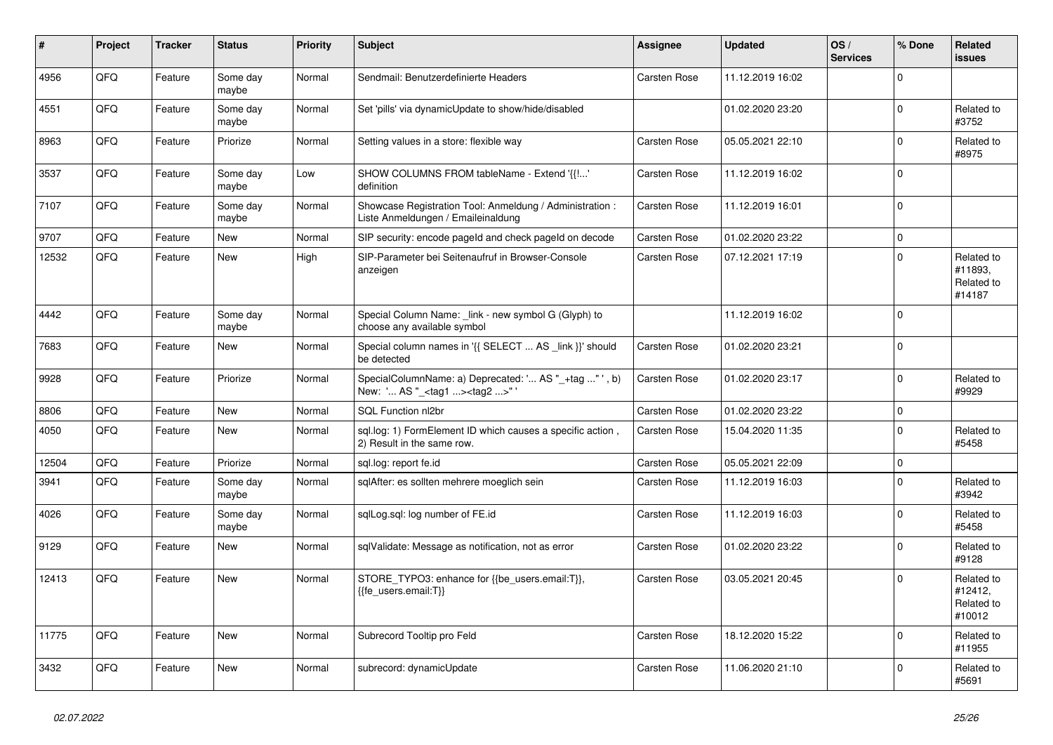| $\vert$ # | Project | <b>Tracker</b> | <b>Status</b>     | <b>Priority</b> | <b>Subject</b>                                                                                    | <b>Assignee</b>     | <b>Updated</b>   | OS/<br><b>Services</b> | % Done              | Related<br><b>issues</b>                      |
|-----------|---------|----------------|-------------------|-----------------|---------------------------------------------------------------------------------------------------|---------------------|------------------|------------------------|---------------------|-----------------------------------------------|
| 4956      | QFQ     | Feature        | Some day<br>maybe | Normal          | Sendmail: Benutzerdefinierte Headers                                                              | Carsten Rose        | 11.12.2019 16:02 |                        | $\Omega$            |                                               |
| 4551      | QFQ     | Feature        | Some day<br>maybe | Normal          | Set 'pills' via dynamicUpdate to show/hide/disabled                                               |                     | 01.02.2020 23:20 |                        | $\mathbf 0$         | Related to<br>#3752                           |
| 8963      | QFQ     | Feature        | Priorize          | Normal          | Setting values in a store: flexible way                                                           | Carsten Rose        | 05.05.2021 22:10 |                        | $\mathbf 0$         | Related to<br>#8975                           |
| 3537      | QFQ     | Feature        | Some day<br>maybe | Low             | SHOW COLUMNS FROM tableName - Extend '{{!'<br>definition                                          | Carsten Rose        | 11.12.2019 16:02 |                        | $\mathbf 0$         |                                               |
| 7107      | QFQ     | Feature        | Some day<br>maybe | Normal          | Showcase Registration Tool: Anmeldung / Administration :<br>Liste Anmeldungen / Emaileinaldung    | <b>Carsten Rose</b> | 11.12.2019 16:01 |                        | $\mathbf 0$         |                                               |
| 9707      | QFQ     | Feature        | New               | Normal          | SIP security: encode pageld and check pageld on decode                                            | Carsten Rose        | 01.02.2020 23:22 |                        | $\pmb{0}$           |                                               |
| 12532     | QFQ     | Feature        | New               | High            | SIP-Parameter bei Seitenaufruf in Browser-Console<br>anzeigen                                     | Carsten Rose        | 07.12.2021 17:19 |                        | $\Omega$            | Related to<br>#11893.<br>Related to<br>#14187 |
| 4442      | QFQ     | Feature        | Some day<br>maybe | Normal          | Special Column Name: _link - new symbol G (Glyph) to<br>choose any available symbol               |                     | 11.12.2019 16:02 |                        | $\Omega$            |                                               |
| 7683      | QFQ     | Feature        | New               | Normal          | Special column names in '{{ SELECT  AS _link }}' should<br>be detected                            | Carsten Rose        | 01.02.2020 23:21 |                        | $\mathbf 0$         |                                               |
| 9928      | QFQ     | Feature        | Priorize          | Normal          | SpecialColumnName: a) Deprecated: ' AS "_+tag " ', b)<br>New: ' AS "_ <tag1><tag2>"</tag2></tag1> | Carsten Rose        | 01.02.2020 23:17 |                        | $\mathbf 0$         | Related to<br>#9929                           |
| 8806      | QFQ     | Feature        | New               | Normal          | SQL Function nl2br                                                                                | Carsten Rose        | 01.02.2020 23:22 |                        | $\mathsf{O}\xspace$ |                                               |
| 4050      | QFQ     | Feature        | <b>New</b>        | Normal          | sql.log: 1) FormElement ID which causes a specific action,<br>2) Result in the same row.          | Carsten Rose        | 15.04.2020 11:35 |                        | $\mathbf 0$         | Related to<br>#5458                           |
| 12504     | QFQ     | Feature        | Priorize          | Normal          | sgl.log: report fe.id                                                                             | <b>Carsten Rose</b> | 05.05.2021 22:09 |                        | $\mathbf 0$         |                                               |
| 3941      | QFQ     | Feature        | Some day<br>maybe | Normal          | sqlAfter: es sollten mehrere moeglich sein                                                        | Carsten Rose        | 11.12.2019 16:03 |                        | $\mathbf 0$         | Related to<br>#3942                           |
| 4026      | QFQ     | Feature        | Some day<br>maybe | Normal          | sqlLog.sql: log number of FE.id                                                                   | Carsten Rose        | 11.12.2019 16:03 |                        | $\Omega$            | Related to<br>#5458                           |
| 9129      | QFQ     | Feature        | <b>New</b>        | Normal          | sqlValidate: Message as notification, not as error                                                | Carsten Rose        | 01.02.2020 23:22 |                        | $\mathbf 0$         | Related to<br>#9128                           |
| 12413     | QFQ     | Feature        | New               | Normal          | STORE_TYPO3: enhance for {{be_users.email:T}},<br>{{fe_users.email:T}}                            | Carsten Rose        | 03.05.2021 20:45 |                        | $\Omega$            | Related to<br>#12412,<br>Related to<br>#10012 |
| 11775     | QFQ     | Feature        | New               | Normal          | Subrecord Tooltip pro Feld                                                                        | Carsten Rose        | 18.12.2020 15:22 |                        | $\mathbf 0$         | Related to<br>#11955                          |
| 3432      | QFQ     | Feature        | <b>New</b>        | Normal          | subrecord: dynamicUpdate                                                                          | Carsten Rose        | 11.06.2020 21:10 |                        | $\Omega$            | Related to<br>#5691                           |